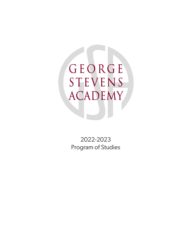GEORGE **STEVENS ACADEMY** 

2022-2023 Program of Studies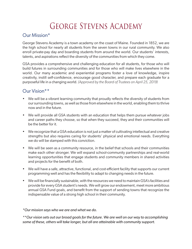# George Stevens Academy

## Our Mission\*

George Stevens Academy is a town academy on the coast of Maine. Founded in 1852, we are the high school for nearly all students from the seven towns in our rural community. We also enroll private-pay day and boarding students from around the world. Our students' interests, talents, and aspirations reflect the diversity of the communities from which they come.

GSA provides a comprehensive and challenging education for all students, for those who will build futures in surrounding communities and for those who will make lives elsewhere in the world. Our many academic and experiential programs foster a love of knowledge, inspire creativity, instill self-confidence, encourage good character, and prepare each graduate for a purposeful life in a changing world. *(Approved by the Board of Trustees on April 25, 2019)*

### Our Vision\*\*

- We will be a vibrant learning community that proudly reflects the diversity of students from our surrounding towns, as well as those from elsewhere in the world, enabling them to thrive now and in the future.
- We will provide all GSA students with an education that helps them pursue whatever jobs and career paths they choose, so that when they succeed, they and their communities will be the better for it.
- We recognize that a GSA education is not just a matter of cultivating intellectual and creative strengths but also requires caring for students' physical and emotional needs. Everything we do will be stamped with this conviction.
- We will be seen as a community resource, in the belief that schools and their communities make each other stronger. We will expand school-community partnerships and real-world learning opportunities that engage students and community members in shared activities and projects for the benefit of both.
- We will have a safe, attractive, functional, and cost-efficient facility that supports our current programming well and has the flexibility to adapt to changing needs in the future.
- We will be financially sustainable, with the resources we need to maintain GSA's facilities and provide for every GSA student's needs. We will grow our endowment, meet more ambitious annual GSA Fund goals, and benefit from the support of sending towns that recognize the indispensable value of a strong high school in their community.

*\*Our mission says who we are and what we do.* 

*\*\*Our vision sets out our broad goals for the future. We are well on our way to accomplishing some of these, others will take longer, but all are attainable with community support.*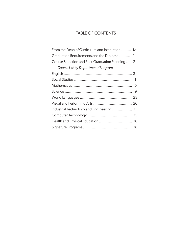### TABLE OF CONTENTS

| From the Dean of Curriculum and Instruction  iv  |  |
|--------------------------------------------------|--|
|                                                  |  |
| Course Selection and Post-Graduation Planning  2 |  |
| Course List by Department/Program                |  |
|                                                  |  |
|                                                  |  |
|                                                  |  |
|                                                  |  |
|                                                  |  |
|                                                  |  |
| Industrial Technology and Engineering  31        |  |
|                                                  |  |
| Health and Physical Education  36                |  |
|                                                  |  |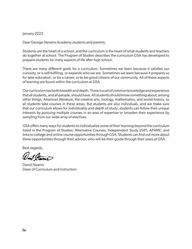### January 2022

Dear George Stevens Academy students and parents,

Students are the heart of a school, and the curriculum is the heart of what students and teachers do together at school. The Program of Studies describes the curriculum GSA has developed to prepare students for many aspects of life after high school.

There are many different goals for a curriculum. Sometimes we learn because it satisfies our curiosity, or is self-fulfilling, or expands who we are. Sometimes we learn because it prepares us for later education, or for a career, or to be good citizens of our community. All of these aspects of learning are found within the curriculum at GSA.

Our curriculum has both breadth and depth. There is a set of common knowledge and experience that all students, and all people, should have. All students should know something about, among other things, American literature, the creative arts, biology, mathematics, and world history, so all students take courses in these areas. But students are also individuals, and we make sure that our curriculum allows for individuality and depth of study; students can follow their unique interests by pursuing multiple courses in an area of expertise or broaden their experience by sampling from our wide array of electives.

GSA offers many ways for students to individualize some of their learning beyond the curriculum listed in the Program of Studies: Alternative Courses, Independent Study (ISIP), AP4ME, and links to college and online course opportunities through GSA. Students can find out more about these opportunities through their advisor, who will be their guide through their years at GSA.

Best regards,

Wood Stevens

David Stearns Dean of Curriculum and Instruction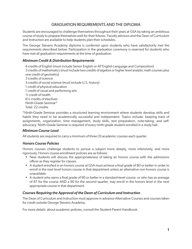### GRADUATION REQUIREMENTS AND THE DIPLOMA

Students are encouraged to challenge themselves throughout their years at GSA by taking an ambitious course of study to prepare themselves well for their futures. Faculty advisors and the Dean of Curriculum and Instruction are available to help students plan their schedules.

The George Stevens Academy diploma is conferred upon students who have satisfactorily met the requirements described below. Participation in the graduation ceremony is reserved for students who have met all graduation requirements at the time of graduation.

### *Minimum Credit & Distribution Requirements*

4 credits of English (must include Senior English or AP English Language and Composition) 3 credits of mathematics (must include two credits of algebra or higher level analytic math courses plus one credit of geometry) 3 credits of science 3 credits of social science (must include U.S. history) 1 credit of physical education 1 credit of visual and performing arts ½ credit of health 6½ credits of electives Ninth-Grade Seminar\* Total: 22 credits

\*Ninth-Grade Seminar provides a structured learning environment where students develop skills and habits they need to be academically successful and independent. Topics include: keeping track of assignments, organization, time management, study skills, test preparation, note-taking, and selfadvocacy. Ninth-Grade Seminar is required of every ninth-grade student enrolled in a study hall.

### *Minimum Course Load*

All students are required to carry a minimum of three (3) academic courses each quarter.

### *Honors Course Policies*

Honors courses challenge students to pursue a subject more deeply, more intensively, and more rigorously. Honors course enrollment policies are as follows:

- New students will discuss the appropriateness of taking an honors course with the admissions officer as they register for classes.
- A student enrolled in an honors course at GSA must achieve a final grade of 80 or better in order to enroll in the next level honors course in that department unless an alternative non-honors course is unavailable.
- A student who earns a final grade of 90 or better in a standard-level course, or who has an average of 87 for the course AND a 90 for the second quarter, may enroll in the honors level in the next appropriate course in that department.

### *Courses Requiring the Approval of the Dean of Curriculum and Instruction*

The Dean of Curriculum and Instruction must approve in advance Alternative Courses and courses taken for credit outside George Stevens Academy.

For more details about academic policies, consult the Student-Parent Handbook.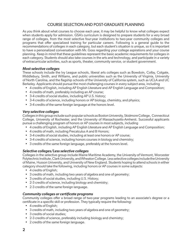### COURSE SELECTION AND POST-GRADUATE PLANNING

As you think about what courses to choose each year, it may be helpful to know what colleges expect when students apply for admission. GSA's curriculum is designed to prepare students for a very broad range of colleges, from the most selective four-year institutions to two-year community colleges and programs that offer specialized training for particular careers. Following is a general guide to the recommendations of colleges in each category, but each student's situation is unique, so it is important to have a personalized conversation with Mr. Goss regarding your college aspirations and your course planning. Keep in mind that these guidelines represent the basic academic requirements for colleges in each category. Students should also take courses in the arts and technology, and participate in a variety of extracurricular activities, such as sports, theater, community service, or student government.

#### *Most selective colleges*

These schools include the Ivy League schools, liberal arts colleges such as Bowdoin, Colby, Colgate, Middlebury, Smith, and Williams, and public universities such as the University of Virginia, University of North Carolina, and the flagship schools of the University of California system, such as UCLA and UC Berkeley. Applicants should pursue the most challenging courses in every subject area, including

- 4 credits of English, including AP English Literature and AP English Language and Composition;
- 4 credits of math, preferably including an AP course;
- 3-4 credits of social studies, including AP U.S. history;
- 3-4 credits of science, including honors or AP biology, chemistry, and physics;
- 3-4 credits of the same foreign language at the honors level.

### *Very selective colleges*

Colleges in this group include such popular schools as Boston University, Skidmore College, Connecticut College, University of Rochester, and the University of Massachusetts-Amherst. Successful applicants pursue a challenging program of honors or AP courses in most subjects, including

- 4 credits of English, including AP English Literature and AP English Language and Composition;
- 4 credits of math, including Precalculus A and B Honors;
- 3-4 credits of social studies, including at least one honors or AP course;
- 3-4 credits of science, including honors courses in biology and chemistry;
- 3 credits of the same foreign language, preferably at the honors level.

### *Selective colleges/Less selective colleges*

Colleges in the selective group include Maine Maritime Academy, the University of Vermont, Worcester Polytechnic Institute, Clark University, and Wheaton College. Less selective colleges include the University of Maine, Husson University, and University of New England. Students hoping to attend schools in either category should take the following, including honors or AP courses in some subjects:

- 4 credits of English;
- 3 credits of math, including two years of algebra and one of geometry;
- 3 credits of social studies, including U.S. History;
- 2-3 credits of science, including biology and chemistry;
- 2-3 credits of the same foreign language.

### *Community colleges or certificate programs*

Community colleges offer a broad range of two-year programs leading to an associate's degree or a certificate in a specific skill or profession. They typically require the following:

- 4 credits of English;
- 3 credits of math, including two years of algebra and one of geometry;
- 3 credits of social studies;
- 2-3 credits of science, preferably including biology and chemistry;
- 2 credits of the same foreign language.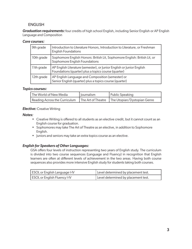### **ENGLISH**

*Graduation requirements:* four credits of high school English, including Senior English or AP English Language and Composition

### *Core courses:*

| 9th grade  | Introduction to Literature Honors, Introduction to Literature, or Freshman<br><b>English Foundations</b>                      |
|------------|-------------------------------------------------------------------------------------------------------------------------------|
| 10th grade | Sophomore English Honors: British Lit, Sophomore English: British Lit, or<br>Sophomore English Foundations                    |
| 11th grade | AP English Literature (semester), or Junior English or Junior English<br>Foundations (quarter) plus a topics course (quarter) |
| 12th grade | AP English Language and Composition (semester) or<br>Senior English (quarter) plus a topics course (quarter)                  |

### *Topics courses:*

| The World of New Media                                                           | lournalism | Public Speaking |
|----------------------------------------------------------------------------------|------------|-----------------|
| Reading Across the Curriculum   The Art of Theatre   The Utopian/Dystopian Genre |            |                 |

### *Elective: Creative Writing*

### *Notes:*

- Creative Writing is offered to all students as an elective credit, but it cannot count as an English course for graduation.
- Sophomores may take The Art of Theatre as an elective, in addition to Sophomore English.
- Juniors and seniors may take an extra topics course as an elective.

### *English for Speakers of Other Languages:*

GSA offers four levels of instruction representing two years of English study. The curriculum is divided into two course sequences (Language and Fluency) in recognition that English learners are often at different levels of achievement in the two areas. Having both course sequences also provides more intensive English study for students taking both courses.

| <b>ESOL</b> or English Language I-IV | Level determined by placement test. |
|--------------------------------------|-------------------------------------|
| <b>ESOL</b> or English Fluency I-IV  | Level determined by placement test. |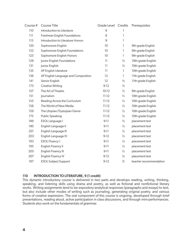| Course # | <b>Course Title</b>                 | Grade Level Credits |               | Prerequisites          |
|----------|-------------------------------------|---------------------|---------------|------------------------|
| 110      | Introduction to Literature          | $\mathsf 9$         | 1             |                        |
| 111      | Freshman English Foundations        | 9                   | 1             |                        |
| 115      | Introduction to Literature Honors   | 9                   | 1             |                        |
| 120      | Sophomore English                   | 10                  | 1             | 9th-grade English      |
| 122      | Sophomore English Foundations       | 10                  | 1             | 9th-grade English      |
| 125      | Sophomore English Honors            | 10                  | 1             | 9th-grade English      |
| 129      | Junior English Foundations          | 11                  | $\frac{1}{2}$ | 10th-grade English     |
| 131      | Junior English                      | 11                  | $\frac{1}{2}$ | 10th-grade English     |
| 135      | AP English Literature               | 11                  | T             | 10th-grade English     |
| 136      | AP English Language and Composition | 12                  | 1             | 11th-grade English     |
| 141      | Senior English                      | 12                  | $\frac{1}{2}$ | 11th-grade English     |
| 173      | <b>Creative Writing</b>             | $9-12$              | $\frac{1}{2}$ |                        |
| 157      | The Art of Theatre                  | $10-12$             | $\frac{1}{2}$ | 9th-grade English      |
| 151      | Journalism                          | $11 - 12$           | $\frac{1}{2}$ | 10th-grade English     |
| 155      | Reading Across the Curriculum       | $11 - 12$           | $\frac{1}{2}$ | 10th-grade English     |
| 158      | The World of New Media              | $11 - 12$           | $\frac{1}{2}$ | 10th-grade English     |
| 159      | The Utopian/Dystopian Genre         | $11 - 12$           | $\frac{1}{2}$ | 10th-grade English     |
| 175      | <b>Public Speaking</b>              | $11 - 12$           | $\frac{1}{2}$ | 10th-grade English     |
| 189      | ESOL Language I                     | $9 - 11$            | $\frac{1}{2}$ | placement test         |
| 190      | English Language II                 | $9 - 11$            | $\frac{1}{2}$ | placement test         |
| 201      | English Language III                | $9 - 11$            | $\frac{1}{2}$ | placement test         |
| 203      | English Language IV                 | $9-12$              | $\frac{1}{2}$ | placement test         |
| 193      | <b>ESOL Fluency I</b>               | $9 - 11$            | $\frac{1}{2}$ | placement test         |
| 195      | English Fluency II                  | $9 - 11$            | $\frac{1}{2}$ | placement test         |
| 205      | English Fluency III                 | $9 - 11$            | $\frac{1}{2}$ | placement test         |
| 207      | English Fluency IV                  | $9-12$              | $\frac{1}{2}$ | placement test         |
| 197      | <b>ESOL Subject Support</b>         | $9-12$              | 0             | teacher recommendation |
|          |                                     |                     |               |                        |

### 110 INTRODUCTION TO LITERATURE, 9 (1 credit)

This dynamic introductory course is delivered in two parts and develops reading, writing, thinking, speaking, and listening skills using drama and poetry, as well as fictional and nonfictional literary works. Writing assignments tend to be expository-analytical responses (paragraphs and essays) to text, but also include other modes of writing such as journaling, generating original poetry, and various forms of creative expression. The oral component of this course is ongoing, developed through brief presentations, reading aloud, active participation in class discussions, and through mini-performances. Students also work on the fundamentals of grammar.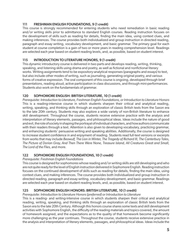### 111 FRESHMAN ENGLISH FOUNDATIONS, 9 (1 credit)

This course is strongly recommended for entering students who need remediation in basic reading and/or writing skills prior to admittance to standard English courses. Reading instruction focuses on the development of skills such as reading for details, finding the main idea, using context clues, and making inferences. The course provides both individualized and group instruction in directed reading, paragraph and essay writing, vocabulary development, and basic grammar. The primary goal for each student at course completion is a gain of two or more years in reading comprehension level. Readings are selected each year based on student reading levels, and, as possible, based on student interest.

### 115 INTRODUCTION TO LITERATURE HONORS, 9 (1 credit)

This dynamic introductory course is delivered in two parts and develops reading, writing, thinking, speaking, and listening skills using drama and poetry, as well as fictional and nonfictional literary works. Writing assignments tend to be expository-analytical responses (paragraphs and essays) to text, but also include other modes of writing, such as journaling, generating original poetry, and various forms of creative expression. The oral component of this course is ongoing, developed through brief presentations, reading aloud, active participation in class discussions, and through mini-performances. Students also work on the fundamentals of grammar.

### 120 SOPHOMORE ENGLISH: BRITISH LITERATURE, 10 (1 credit)

*Prerequisite: Introduction to Literature, Freshman English Foundations, or Introduction to Literature Honors* This is a reading-intensive course in which students sharpen their critical and analytical reading, writing, speaking, and thinking skills through an exploration of classic British texts from the Saxon era to the late 20th century. Students may also explore a wide variety of non-British literature to enhance skill development. Throughout the course, students receive extensive practice with the analysis and interpretation of literary elements, passages, and philosophical ideas. Ideas include the nature of good and evil, the role of society in shaping the portrayal of individual characters, and how authors communicate with their readers through a text. Attention is also given to developing vocabulary, practicing grammar, and enhancing students' persuasive writing and speaking abilities. Additionally, the course is designed to increase student confidence in and enjoyment of reading. Students read full-text versions or excerpts from works that may include *Beowulf, The Lion in Winter, The Tragedy of Richard III, The Canterbury Tales, The Picture of Dorian Gray, And Then There Were None, Treasure Island, All Creatures Great and Small, The Lord of the Flies,* and more.

### 122 SOPHOMORE ENGLISH FOUNDATIONS, 10 (1 credit)

### *Prerequisite: Freshman English Foundations*

This course is designed for sophomores whose reading and/or writing skills are still developing and who are not quite ready for the level of English instruction delivered in Sophomore English. Reading instruction focuses on the continued development of skills such as reading for details, finding the main idea, using context clues, and making inferences. The course provides both individualized and group instruction in directed reading, paragraph and essay writing, vocabulary development, and basic grammar. Readings are selected each year based on student reading levels, and, as possible, based on student interest.

### 125 SOPHOMORE ENGLISH HONORS: BRITISH LITERATURE, 10 (1 credit)

### *Prerequisite: Introduction to Literature Honors (preferred) or Introduction to Literature*

This is a reading- and writing-intensive course in which students sharpen their critical and analytical reading, writing, speaking, and thinking skills through an exploration of classic British texts from the Saxon era to the late 20th Century. Although this honors course shares some texts and skill development activities with Sophomore English, the difficulty of the reading materials and topics covered, the amount of homework assigned, and the expectations as to the quality of that homework become significantly more challenging as the year continues. Throughout the course, students receive extensive practice in the analysis and interpretation of literary elements, passages, and philosophical ideas. Ideas include the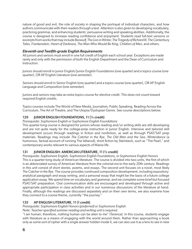nature of good and evil, the role of society in shaping the portrayal of individual characters, and how authors communicate with their readers through a text. Attention is also given to developing vocabulary, practicing grammar, and enhancing students' persuasive writing and speaking abilities. Additionally, the course is designed to increase reading confidence and enjoyment. Students read full-text versions or excerpts from works that may include *Beowulf, The Lion in Winter, The Tragedy of Richard III, The Canterbury Tales, Frankenstein, Heart of Darkness, The Man Who Would Be King, Children of Men,* and others.

### *Eleventh and Twelfth-grade English Requirements*

All juniors and seniors must enroll in one full credit of English each school year. Exceptions are made rarely and only with the permission of both the English Department and the Dean of Curriculum and Instruction.

Juniors should enroll in Junior English/Junior English Foundations (one quarter) and a topics course (one quarter), OR AP English Literature (one semester).

Seniors should enroll in Senior English (one quarter) and a topics course (one quarter), OR AP English Language and Composition (one semester).

Juniors and seniors may take an extra topics course for elective credit. This does not count toward required English credits.

Topics courses include The World of New Media, Journalism, Public Speaking, Reading Across the Curriculum, The Art of Theatre, and The Utopia/Dystopian Genre. See course descriptions below.

### 129 JUNIOR ENGLISH FOUNDATIONS, 11 (½ credit)

*Prerequisite: Sophomore English or Sophomore English Foundations*

This quarter-long course is designed for juniors whose reading and/or writing skills are still developing and are not quite ready for the college-prep instruction in Junior English. Intensive and tailored skill development occurs through readings in fiction and nonfiction, as well as through PSAT/SAT prep materials. Readings may include *The Catcher in the Rye, The Old Man and the Sea, Winterdance* (a humorous, factual account of running The Iditarod), short fiction by Steinbeck, such as "The Pearl," and contemporary works relevant to various aspects of Maine life.

### 131 JUNIOR ENGLISH: AMERICAN LITERATURE, 11 (½ credit)

*Prerequisite: Sophomore English, Sophomore English Foundations, or Sophomore English Honors* This is a quarter-long study of American literature. The course is divided into two units, the first of which is an abbreviated survey of American literature from the colonial era to the early 20th century. Readings in this unit consist of short stories, poems, and essays. The second unit focuses on a novel, most likely *The Catcher in the Rye*. The course provides continued composition development, including expositoryanalytical paragraph and essay writing, and a personal essay that might be the basis of a future college application essay. We spend time on vocabulary and grammar, and we complete some brief but focused PSAT/SAT preparation. Oral communication skills are encouraged and developed through active and appropriate participation in class activities and in our numerous discussions of the literature at hand. Finally, although the readings are discussed separately and on their own terms, we also examine how they connect to a course theme, currently "the journey."

### 135 AP ENGLISH LITERATURE, 11 (1 credit)

*Prerequisite: Sophomore English Honors (preferred) or Sophomore English*

*Note: Teacher-specified summer reading and writing unit is required.*

"I am human; therefore, nothing human can be alien to me" (Terence). In this course, students engage with literature as a means of engaging with the world around them. Rather than approaching a book only as some sort of cipher with a single answer hidden inside it, we can also use it as a lens to see in new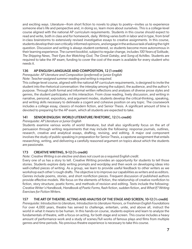and exciting ways. Literature—from short fiction to novels to plays to poetry—invites us to experience someone else's life and perspective and, in doing so, learn more about ourselves. This is a college-level course aligned with the national AP curriculum requirements. Students in this course should expect to read and write, both in class and for homework, daily. Writing varies both in labor and in type, from brief in-class brainstorms to extensively revised investigative essays to creative assignments. In this course, students develop their own critically-informed opinions, and engage in the arduous task of asking the right question. Discussion and writing is always student-centered, so students become more autonomous in their learning experience. The current booklist, subject to regular change, includes *100 Years of Solitude*, *The Shipping News*, *Their Eyes Are Watching God*, *The Great Gatsby*, and *Song of Achilles*. Students are required to take the AP exam; funding to cover the cost of the exam is available for every student who needs it.

### 136 AP ENGLISH LANGUAGE AND COMPOSITION, 12 (1 credit)

*Prerequisite: AP Literature and Composition (preferred) or Junior English Note: Teacher-assigned summer reading and writing is required.*

This college-level course, aligned with the national AP curriculum requirements, is designed to invite the student into the rhetorical conversation: the interplay among the subject, the audience, and the author's purpose. Through both formal and informal written reflections and analyses of diverse prose styles and genres, the student participates in this interaction. From close reading, lively discussion, and writing in narrative, personal, expository, and argument modes, students develop the critical-thinking, speaking, and writing skills necessary to delineate a cogent and cohesive position on any topic. The coursework includes a college essay, classics of modern fiction, and Senior Thesis. A significant amount of time is devoted to preparing for the AP exam, which all students are expected to take.

### 141 SENIOR ENGLISH: WORLD LITERATURE/RHETORIC, 12 (½ credit)

### *Prerequisite: AP Literature or Junior English*

Students examine various works of world literature, but shall also significantly focus on the art of persuasion through writing requirements that may include the following: response journals, outlines, research, creative and analytical essays, drafting, revising, and editing. A major oral component involves the study of public speaking in preparation for Senior Thesis, a capstone assignment that entails researching, writing, and delivering a carefully reasoned argument on topics about which the students are passionate.

### 173 CREATIVE WRITING, 9-12 (½ credit)

### *Note: Creative Writing is an elective and does not count as a required English credit.*

Every one of us has a story to tell. Creative Writing provides an opportunity for students to tell those stories. Students explore daily writing prompts and wordplay and then work on developing ideas into well-crafted pieces of writing. As a group, we learn to provide useful feedback to other writers as we workshop each other's rough drafts. The objective is to improve our capabilities as writers and as editors. Genres include poems, stories, and short nonfiction pieces. Frequent discussion of published authors provide effective models. We focus on the elements of fiction, the relationship of creative nonfiction to fiction, story structure, poetic forms, and methods of revision and editing. Texts include the following: *Creative Writer's Handbook, Handbook of Poetic Forms,* flash fiction, sudden fiction, and *What If? Writing Exercises for Fiction Writers.*

### 157 THE ART OF THEATRE: ACTING AND ANALYSIS OF THE STAGE AND SCREEN, 10-12 (½ credit)

*Prerequisite: Introduction to Literature, Introduction to Literature Honors, or Freshman English Foundations* For over 4,000 years, theatre has served to challenge, entertain, unite, and above all, instruct the world in what it means to be human. In this hands-on course, students explore and learn to analyze the fundamentals of theatre, with a focus on acting, for both stage and screen. This course includes a heavy amount of performance work and a study of scenes/full works of famous plays and films from multiple genres and time periods. No previous theatre experience is necessary to take this course.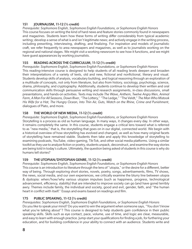### 151 JOURNALISM, 11-12 (½ credit)

*Prerequisite: Sophomore English, Sophomore English Foundations, or Sophomore English Honors* This course focuses on writing the kind of hard news and feature stories commonly found in newspapers and magazines. Students learn how these forms of writing differ considerably from typical academic writing; develop a sense of what is and isn't legitimate news; and actively engage in the writing process, including prewriting, interviewing, drafting, and finalizing. For inspiration and models of journalistic craft, we refer frequently to area newspapers and magazines, as well as to journalists working on the regional and national stages. We might visit a working newsroom to see how it functions, and we might have guest appearances by working journalists.

### 155 READING ACROSS THE CURRICULUM, 11-12 (½ credit)

*Prerequisite: Sophomore English, Sophomore English Foundations, or Sophomore English Honors* This reading-intensive course is designed to help students of all reading levels deepen and broaden their interpretations of a variety of texts, old and new, fictional and nonfictional, literary and visual. Students develop skills of analysis, vocabulary building, and logical reasoning through an exploration of a multitude of concepts, not only from literature, but also from history, sociology, psychology, science, drama, philosophy, and cryptography. Additionally, students continue to develop their written and oral communication skills through persuasive writing and research assignments, in-class discussions, small presentations, and hands-on activities. Texts may include *The Wave, Anthem, Twelve Angry Men, Animal Farm, A Man For All Seasons, Down River*, "The Lottery," "The Ledge," "The Veldt," *The Man Who Mistook His Wife for a Hat, The Hungry Ocean, Into Thin Air, Guts, Watch on the Rhine, Crime and Punishment*, dialogues of Plato, and more.

### 158 THE WORLD OF NEW MEDIA, 11-12 (½ credit)

*Prerequisite: Sophomore English, Sophomore English Foundations, or Sophomore English Honors* Storytelling is a process as old as human language. In many ways, it changes every day. In other ways, it remains completely the same. In this course, students engage a critical lens toward what is referred to as "new media," that is, the storytelling that goes on in our digital, connected world. We begin with a historical overview of how storytelling has evolved and changed, as well as how many original facets of storytelling have remained stable. Students then take and apply this knowledge of storytelling to examining podcasts, YouTube, video-gaming, Tik-Tok, and other social media platforms. Using a similar toolkit as they use to analyze fiction or poetry, students unpack, deconstruct, and examine the way stories are being told in today's culture. Ultimately, the question being asked of students in this course is why do humans tell stories?

### 159 THE UTOPIAN/DYSTOPIAN GENRE, 11-12 (½ credit)

*Prerequisite: Sophomore English, Sophomore English Foundations, or Sophomore English Honors* This course is an introduction to literature through the lens of "utopia," or the desire for a different, better way of being. Through exploring short stories, novels, poetry, songs, advertisements, films, TV shows, the news, social media, and our own experiences, we critically examine the blurry line between utopia & dystopia: when/how/why various utopian impulses (such as happiness, progress, technological advancement, efficiency, stability) that are intended to improve society can go (and have gone) terribly awry. Themes include family, the individual and society, good and evil, gender, faith, and "the human heart in conflict with itself." Essays and exams based on readings and film.

### 175 PUBLIC SPEAKING, 11-12 (½ credit)

*Prerequisites: Sophomore English, Sophomore English Foundations, or Sophomore English Honors* Do you like to speak your mind? Do you want to win the argument when someone says, "You don't know what you're talking about"? This course is designed to help students gain confidence in their public speaking skills. Skills such as eye contact, pace, volume, use of time, and logic are clear, measurable, and easy to learn with enough practice. Jump-start your qualifications for finding a job, for furthering your education, and for building confidence in your ability to connect with an audience. Students write and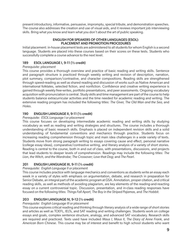present introductory, informative, persuasive, impromptu, special tribute, and demonstration speeches. The course also addresses the creation and use of visual aids, and it reviews important job interviewing skills. Bring what you know and learn what you don't about the art of public speaking.

### ENGLISH FOR SPEAKERS OF OTHER LANGUAGES (ESOL): PLACEMENT AND PROMOTION PROCEDURES

Initial placement: in-house placement tests are administered to all students for whom English is a second language. Students are placed into these courses based on their scores on these tests. Students who successfully complete a course advance to the next level.

### 189 ESOL LANGUAGE I, 9-11 (½ credit)

### *Prerequisite: placement*

This course provides a thorough overview and practice of basic reading and writing skills. Sentence and paragraph structure is practiced through weekly writing and revision of description, narration, plot summary, comparison/contrastive, and character compositions. Reading skills are strengthened through speed-reading as well as shared reading and discussion of works such as Native American and international folktales, selected fiction, and nonfiction. Confidence and creative writing experience is gained through weekly free-writes, portfolio presentations, and peer assessments. Ongoing vocabulary acquisition with pronunciation is central. Study skills and time management are part of the course to help students balance extracurricular activities and the time needed for academic reading and writing. The extensive reading program has included the following titles: *The Giver, The Old Man and the Sea,* and *Holes*.

### 190 ENGLISH LANGUAGE II, 9-11 (½ credit)

### *Prerequisite: ESOL Language I or placement*

This course focuses on developing intermediate academic reading and writing skills by studying vocabulary as well as reading and writing strategies and structures. The course includes a thorough understanding of basic research skills. Emphasis is placed on independent revision skills and a solid understanding of fundamental conventions and mechanics through practice. Students focus on increasing reading comprehension through topic and main idea challenges in a wide variety of texts. Students move from strong paragraph writing to essays covering cause and effect, personal narrative (college essay ideas), comparative/contrastive writing, and literary analysis of a variety of short stories. Reading is central to the course, both in and out of class, with presentations, discussions, and projects that lead students to deeper levels of comprehension. Readings may include the following titles: *The Lion, the Witch, and the Wardrobe; The Crossover; Love that Dog;* and *The Pearl.*

### 201 ENGLISH LANGUAGE III, 9-11 (½ credit)

### *Prerequisite: English Language II or placement*

This course includes practice with language mechanics and conventions as students write an essay each week in a variety of styles with emphasis on argumentation, debate, and research in preparation for Senior Debate, an integral part of the academic program at GSA. Annotation, proper citation, and critical reading skills, as well as methods of avoiding plagiarism, are key elements of the reading-and-reacting essay on a current controversial topic. Discussion, presentation, and in-class reading responses have focused on the following titles: *Things Fall Apart, The Boy in the Striped Pajamas,* and *The Hobbit.*

### 203 ENGLISH LANGUAGE IV, 9-12 (½ credit)

### *Prerequisite: English Language III or placement*

This course explores critical reading and thinking through literary analysis of a wide range of short stories and articles as well as TOEFL, IELTs, and SAT reading and writing challenges. Students work on college essays and goals, complex sentence structure, analogy, and advanced SAT vocabulary. Research skills are required and practiced. Texts used have included *Maus I, Maus II, The Diary of Anne Frank,* and *American Born Chinese*. This course may be of interest and benefit to high school students who want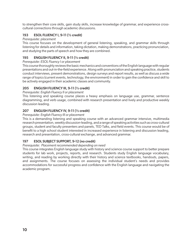to strengthen their core skills, gain study skills, increase knowledge of grammar, and experience crosscultural connections through academic discussions.

### 193 ESOL FLUENCY I, 9-11 (½ credit)

#### *Prerequisite: placement*

This course focuses on the development of general listening, speaking, and grammar skills through listening for details and information, taking dictation, making demonstrations, practicing pronunciation, and studying the parts of speech and how they are combined.

### 195 ENGLISH FLUENCY II, 9-11 (½ credit)

*Prerequisite: ESOL Fluency I or placement*

This course thoroughly reviews the basic mechanics and conventions of the English language with regular presentations and out-in-the-field experience. Along with pronunciation and speaking practice, students conduct interviews, present demonstrations, design surveys and report results, as well as discuss a wide range of topics (current events, technology, the environment) in order to gain the confidence and skill to be actively engaged in their academic classes and community.

### 205 ENGLISH FLUENCY III, 9-11 (½ credit)

*Prerequisite: English Fluency II or placement*

This listening and speaking course places a heavy emphasis on language use, grammar, sentence diagramming, and verb usage, combined with research presentation and lively and productive weekly discussion leading.

### 207 ENGLISH FLUENCY IV, 9-11 (½ credit)

#### *Prerequisite: English Fluency III or placement*

This is a demanding listening and speaking course with an advanced grammar intensive, multimedia research presentation, weekly discussion-leading, and a range of speaking activities such as cross-cultural groups, student and faculty presenters and panels, TED Talks, and field events. This course would be of benefit to a high school student interested in increased experience in listening and discussion leading, research and presentation, cross-cultural exchange, and advanced grammar.

### 197 ESOL SUBJECT SUPPORT, 9-12 (no credit)

### *Prerequisite: Placement recommended depending on need*

This course integrates English language study with history and science course support to better prepare students for lab work, projects, reports, and research. Students study English language vocabulary, writing, and reading by working directly with their history and science textbooks, handouts, papers, and assignments. The course focuses on assessing the individual student's needs and provides accommodations for successful progress and confidence with the English language and navigating the academic program.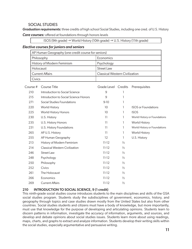### SOCIAL STUDIES

*Graduation requirements:* three credits of high school Social Studies, including one cred. of U.S. History *Core courses:* offered at foundations through honors levels

ISOS (9th grade)  $\rightarrow$  World History (10th grade)  $\rightarrow$  U.S. History (11th grade)

### *Elective courses for juniors and seniors*

| AP Human Geography (one credit course for seniors) |                                       |  |  |  |
|----------------------------------------------------|---------------------------------------|--|--|--|
| Economics<br>Philosophy                            |                                       |  |  |  |
| History of Modern Feminism                         | Psychology                            |  |  |  |
| Holocaust                                          | Street Law                            |  |  |  |
| <b>Current Affairs</b>                             | <b>Classical Western Civilization</b> |  |  |  |
| Civics                                             |                                       |  |  |  |

| Course # | Course Title                          | Grade Level Credits |               | Prerequisites                |
|----------|---------------------------------------|---------------------|---------------|------------------------------|
| 210      | Introduction to Social Science        | 9                   |               |                              |
| 215      | Introduction to Social Science Honors | 9                   | 1             |                              |
| 271      | Social Studies Foundations            | $9-10$              | 1             |                              |
| 220      | <b>World History</b>                  | 10                  | 1             | <b>ISOS</b> or Foundations   |
| 225      | World History Honors                  | 10                  | 1             | <b>ISOS</b>                  |
| 230      | U.S. History                          | $\overline{11}$     | 1             | World History or Foundations |
| 235      | U.S. History Honors                   | 11                  | 1             | <b>World History</b>         |
| 231      | U.S. History Foundations              | 11                  | T             | World History or Foundations |
| 265      | AP U.S. History                       | 11                  | L             | <b>World History</b>         |
| 255      | AP Human Geography                    | 12                  | 1             | U.S. History                 |
| 213      | History of Modern Feminism            | $11 - 12$           | $\frac{1}{2}$ |                              |
| 214      | <b>Classical Western Civilization</b> | $11 - 12$           | $\frac{1}{2}$ |                              |
| 246      | Street Law                            | $11 - 12$           | $\frac{1}{2}$ |                              |
| 248      | Psychology                            | $11 - 12$           | $\frac{1}{2}$ |                              |
| 250      | Philosophy                            | $11 - 12$           | $\frac{1}{2}$ |                              |
| 252      | Civics                                | $11 - 12$           | $\frac{1}{2}$ |                              |
| 261      | The Holocaust                         | $11 - 12$           | $\frac{1}{2}$ |                              |
| 266      | Economics                             | $11 - 12$           | $\frac{1}{2}$ |                              |
| 269      | <b>Current Affairs</b>                | $11 - 12$           | $\frac{1}{2}$ |                              |
|          |                                       |                     |               |                              |

### 210 INTRODUCTION TO SOCIAL SCIENCE, 9 (1 credit)

This ninth-grade social studies course introduces students to the main disciplines and skills of the GSA social studies program. Students study the subdisciplines of government, economics, history, and geography through topics and case studies drawn mostly from the United States but also from other countries. Social studies students and citizens must have a body of knowledge, but more importantly, must use that knowledge for the purpose of developing and articulating opinions. Students learn to discern patterns in information, investigate the accuracy of information, arguments, and sources, and develop and debate opinions about social studies issues. Students learn more about using readings, maps, charts, and graphs to extract and analyze information. Students develop their writing skills within the social studies, especially argumentative and persuasive writing.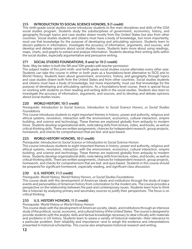### 215 INTRODUCTION TO SOCIAL SCIENCE HONORS, 9 (1 credit)

This ninth-grade social studies course introduces students to the main disciplines and skills of the GSA social studies program. Students study the subdisciplines of government, economics, history, and geography through topics and case studies drawn mostly from the United States but also from other countries. Social studies students and citizens must have a body of knowledge, but more importantly, must use that knowledge for the purpose of developing and articulating opinions. Students learn to discern patterns in information, investigate the accuracy of information, arguments, and sources, and develop and debate opinions about social studies issues. Students learn more about using readings, maps, charts, and graphs to extract and analyze information. Students develop their writing skills within the social studies, especially argumentative and persuasive writing.

### 271 SOCIAL STUDIES FOUNDATIONS, 9 and/or 10 (1 credit)

*Note: May be taken in both the 9th and 10th grades with teacher permission*

The subject matter of this joint ninth- and tenth-grade social studies course alternates every other year. Students can take this course in either or both years as a foundations-level alternative to ISOS and to World History. Students learn about government, economics, history, and geography through topics and case studies drawn both from the United States and from other countries. Social studies students and citizens must have a body of knowledge, but more importantly, must use that knowledge for the purpose of developing and articulating opinions. As a foundations-level course, there is special focus on working with students on their reading and writing skills in the social studies. Students also learn to investigate the accuracy of information, arguments, and sources, and to develop and debate opinions about social studies issues.

### 220 WORLD HISTORY, 10 (1 credit)

*Prerequisite: Introduction to Social Science, Introduction to Social Science Honors, or Social Studies Foundations*

This course introduces students to eight important themes in history: power and authority, religious and ethical systems, revolution, interaction with the environment, economics, cultural interaction, empire building, and science and technology. These themes are explored globally from antiquity to modern times. Students develop organizational skills, note-taking skills from lecture, video, and books, as well as critical-thinking skills. There are written assignments, chances for independent research, group projects, homework, and checks for comprehension that are test- and quiz-based.

### 225 WORLD HISTORY HONORS, 10 (1 credit)

*Prerequisite: Introduction to Social Science or Introduction to Social Science Honors*

This course introduces students to eight important themes in history: power and authority, religious and ethical systems, revolution, interaction with the environment, economics, cultural interaction, empire building, and science and technology. These themes are explored globally from antiquity to modern times. Students develop organizational skills; note-taking skills from lecture, video, and books; as well as critical-thinking skills. There are written assignments, chances for independent research, group projects, homework, and checks for comprehension that are test- and quiz-based. Students in this course should be prepared for significant homework, especially reading, and significant class discussion.

### 230 U.S. HISTORY, 11 (1 credit)

*Prerequisite: World History, World History Honors, or Social Studies Foundations*

This course deals with the development of American ideals and institutions through the study of major events and personalities of American history from colonization to the modern era. The course provides a perspective on the relationship between the past and contemporary issues. Students learn how to think like a historian by analyzing primary and secondary sources to justify their perspectives. The focus is on critical thinking.

### 235 U.S. HISTORY HONORS, 11 (1 credit)

#### *Prerequisite: World History or World History Honors*

This course deals with the development of American society, ideals, and institutions through an intensive study of the political, social, economic, and cultural history of the United States. The course is designed to provide students with the analytic skills and factual knowledge necessary to deal critically with materials and problems in US history. Students learn to assess a variety of historical materials—their relevance to a particular problem, their reliability and importance—and to weigh the evidence and interpretations presented in historical scholarship. This course also emphasizes historical research and writing.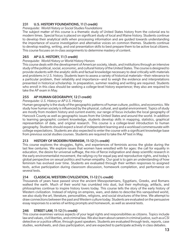### 231 U.S. HISTORY FOUNDATIONS, 11 (1 credit)

#### *Prerequisite: World History or Social Studies Foundations*

The subject matter of this course is a thematic study of United States history from the colonial era to modern times. Special focus is placed on significant study of local and Maine history. Students continue to develop their analytical skills when processing information and are guided towards understanding the importance of source investigation and alternative voices on common themes. Students continue to develop reading, writing, and oral presentation skills to best prepare them to be active local citizens. This course focuses on in-class assignments to determine mastery of content.

### 265 AP U.S. HISTORY, 11 (1 credit)

### *Prerequisite: World History or World History Honors*

This course deals with the development of American society, ideals, and institutions through an intensive study of the political, social, economic, and cultural history of the United States. The course is designed to provide students with the analytic skills and factual knowledge necessary to deal critically with materials and problems in U.S. history. Students learn to assess a variety of historical materials—their relevance to a particular problem, their reliability and importance—and to weigh the evidence and interpretations presented in historical scholarship. In preparation, summer reading and writing are required. Students who enroll in this class should be seeking a college-level history experience; they also are required to take the AP exam in May.

### 255 AP HUMAN GEOGRAPHY, 12 (1 credit)

### *Prerequisite: U.S. History or AP U.S. History*

Human geography is the study of the geographic patterns of human culture, politics, and economics. We study how human society is influenced by the physical, cultural, and spatial environment. Topics of study are mostly from modern history and current events; our range of focus includes the local geography of Hancock County as well as geographic issues from the United States and around the world. In addition to learning geographic content knowledge, students develop skills in mapping, statistics, graphical representation of data, and original research. This course is a college-level introduction to human geography. Students should expect a level of independent learning and a workload commensurate with college expectations. Students are also expected to enter the course with a significant knowledge base from previous social studies courses. Students are required to take the AP test in May.

### 213 HISTORY OF MODERN FEMINISM, 11-12 (½ credit)

This course explores the struggles, fights, and experiences of feminists across the globe during the last few centuries. We explore issues that women have wrestled with for ages: the call for equality in education, the desire for universal suffrage, the mix of fierce indignation and deep scientific research in the early environmentalist movement, the rallying cry for equal pay and reproductive rights, and today's global perspective on sexual politics and human empathy. Our goal is to gain an understanding of how feminism has evolved over time. Students are evaluated through their written responses to assigned texts, active participation during classroom discussion, homework completion, and performance on several tests.

### 214 CLASSICAL WESTERN CIVILIZATION, 11-12 (½ credit)

Thousands of years have passed since the ancient Mesopotamians, Egyptians, Greeks, and Romans walked the earth. Much of their world has crumbled into dust, but their mythology, artifacts, and philosophies continue to inspire history lovers today. This course tells the story of the early history of Western civilization. Instead of relying on empires, wars, and dates to describe this vanquished world, we also study the art, literature, personalities, religions, and social structures of the time. We attempt to draw connections between the past and Western culture today. Students are evaluated on the persuasive essay responses to a series of writing prompts and homework, as well as several tests.

### 246 STREET LAW, 11-12 (½ credit)

This course examines various aspects of your legal rights and responsibilities as citizens. Topics include law and values, civil liberties, and criminal law. We also learn about careers in criminal justice, such as a CSI detective or a police officer, through guest speakers. Students are evaluated through tests, reports, case studies, worksheets, and class participation, and are expected to participate actively in class debates.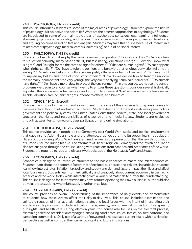### 248 PSYCHOLOGY, 11-12 (½ credit)

This course introduces students to some of the major areas of psychology. Students explore the nature of psychology: Is it objective and scientific? What are the different approaches to psychology? Students are introduced to some of the main topic areas of psychology: consciousness, learning, intelligence, abnormal psychology, personality, and gender. The coursework and grading emphasizes developing and arguing opinions based on fact and analysis. Students may take this course because of interest in a related career (psychology, medical careers, advertising) or out of personal interest.

### 250 PHILOSOPHY, 11-12 (½ credit)

Ethics is the branch of philosophy that aims to answer the question, "How should I live?" Once we take this question seriously, many other difficult, but fascinating, questions emerge: "How do I know what is right?" and "Is right for me the same as right for others?" "What are human rights?" "What happens when rights conflict?" "Do I have to tolerate opinions and behaviors that religious conviction tells me are wrong?" "Do religious beliefs or cultural norms justify offensive or harmful behavior?" "Is it ever right to impose my beliefs and code of conduct on others?" "How do we decide how to treat the unborn? the mentally incompetent? the very young? the very old? the dying? criminals? terrorists?" "Do animals have rights?" "Do I have a moral duty to protect the environment?" In this course, we notice the sorts of problems we begin to encounter when we try to answer these questions; consider several historically important theoretical ethical frameworks; and study in depth several "live" ethical issues, such as assisted suicide, abortion, famine, animal rights, offense to others, and bioethics.

### 252 CIVICS, 11-12 (½ credit)

Civics is the study of citizenship and government. The focus of this course is to prepare students to become active, thoughtful, and informed citizens. Students learn about the historical development of our government and political systems; the United States Constitution; federal, state, and local government structures; the rights and responsibilities of citizenship; and media literacy. Students are evaluated through quizzes, tests, homework, class participation, and online simulations.

### 261 THE HOLOCAUST, 11-12 (½ credit)

This course provides an in-depth look at Germany's post-World War I social and political environment that gave rise to Adolf Hitler's rule and the attempted genocide of the European Jewish population. Hitler's actions during World War II are examined, as well as the persecution that the Jewish population of Europe endured during his rule. The aftermath of Hitler's reign on Germany and the Jewish population also are analyzed through the course, along with reactions from America and other areas of the world. Students are required to read and discuss two books about the Holocaust: *Night* and *Maus*.

### 266 ECONOMICS, 11-12 (½ credit)

Economics is designed to introduce students to the basic concepts of macro and microeconomics. Students learn about the economic factors that affect local businesses and citizens; in particular, students learn how interest rates, inflation, tax policy, and supply and demand factors impact their lives and affect local businesses. Students learn to think critically and creatively about current economic issues facing America and the world today while interacting with a variety of materials to further their understanding. This course is designed for students who may have a future operating their own business, but should also be valuable to students who might study it further in college.

### 269 CURRENT AFFAIRS, 11-12 (½ credit)

The course provides an overall understanding of the importance of daily events and demonstrates to students how these events affect their day-to-day lives. This course includes examination and spirited discussion of international, national, state, and local issues with the intent of interpreting their significance. Topics could include education, race, energy, environmental protection, free speech, gun rights, and health care. During election years, this course also focuses on the electoral process, examining selected presidential campaigns, analyzing candidates, issues, tactics, political cartoons, and campaign commercials. Daily use of a variety of news media helps place current affairs within a historical perspective as well as consider their current context and future implications.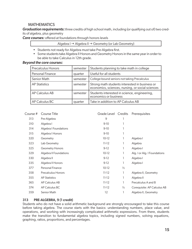### **MATHEMATICS**

*Graduation requirements:*three credits of high school math, including (or qualifying out of) two credits of algebra, plus geometry

*Core courses:* offered at foundations through honors levels

Algebra I $\rightarrow$  Algebra II  $\rightarrow$  Geometry (or Lab Geometry)

- Students not ready for Algebra must take Pre-Algebra first.
- Some students take Algebra II Honors and Geometry Honors in the same year in order to be able to take Calculus in 12th grade.

#### *Beyond the core courses:*

| <b>Precalculus Honors</b> | semester | Students planning to take math in college                                                          |
|---------------------------|----------|----------------------------------------------------------------------------------------------------|
| Personal Finance          | quarter  | Useful for all students                                                                            |
| Senior Math               | semester | College-bound seniors not taking Precalculus                                                       |
| <b>AP Statistics</b>      | semester | Strong math students interested in business or<br>economics, sciences, nursing, or social sciences |
| AP Calculus AB            | semester | Students interested in science, engineering,<br>economics or business                              |
| AP Calculus BC            | quarter  | Take in addition to AP Calculus AB                                                                 |

| Course # | Course Title              | Grade Level | Credits       | Prerequisites                |
|----------|---------------------------|-------------|---------------|------------------------------|
| 313      | Pre-Algebra               | 9           |               |                              |
| 310      | Algebra I                 | $9-10$      |               |                              |
| 314      | Algebra I Foundations     | $9-10$      | 1             |                              |
| 315      | Algebra   Honors          | $9-10$      | 1             |                              |
| 320      | Geometry                  | $10-12$     | 1             | Algebra I                    |
| 323      | Lab Geometry              | $11 - 12$   | 1             | Algebra                      |
| 325      | <b>Geometry Honors</b>    | $9-12$      | ı             | Algebra I                    |
| 329      | Algebra II Foundations    | $10-12$     | 1             | Alg. I or Alg. I Foundations |
| 330      | Algebra II                | $9-12$      | 1             | Algebra I                    |
| 335      | Algebra II Honors         | $9-12$      | 1             | Algebra I                    |
| 377      | <b>Personal Finance</b>   | $10-12$     | $\frac{1}{2}$ |                              |
| 358      | <b>Precalculus Honors</b> | $11 - 12$   | ı             | Algebra II, Geometry         |
| 355      | <b>AP Statistics</b>      | $11 - 12$   | ı             | Algebra II                   |
| 365      | AP Calculus AB            | $11 - 12$   | ı             | Precalculus A and B          |
| 374      | AP Calculus BC            | $11 - 12$   | $\frac{1}{2}$ | Corequisite: AP Calculus AB  |
| 359      | Senior Math               | 12          | 1             | Algebra II, Geometry         |
|          |                           |             |               |                              |

### 313 PRE-ALGEBRA, 9 (1 credit)

Students who do not have a solid arithmetic background are strongly encouraged to take this course before taking algebra. The course starts with the basics: understanding numbers, place value, and operations, and working with increasingly complicated arithmetic expressions. From there, students make the transition to fundamental algebra topics, including signed numbers, solving equations, graphing, ratios, proportions, and percentages.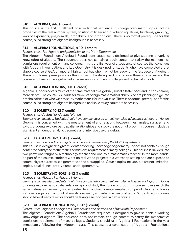### 310 ALGEBRA I, 9-10 (1 credit)

This course is the first installment of a traditional sequence in college-prep math. Topics include properties of the real number system, solution of linear and quadratic equations, functions, graphing, laws of exponents, polynomials, probability, and proportions. There is no formal prerequisite for this course, but a strong pre-algebra background is necessary.

### 314 ALGEBRA I FOUNDATIONS, 9-10 (1 credit)

*Prerequisites: Pre-Algebra and permission of the Math Department*

The Algebra I Foundations-Algebra II Foundations sequence is designed to give students a working knowledge of algebra. The sequence does not contain enough content to satisfy the mathematics admissions requirement of many colleges. This is the first year of a sequence of courses that continues with Algebra II Foundations and Lab Geometry. It is designed for students who have completed a prealgebra course at GSA or another high school but who may not be ready for the fast pace of Algebra I. There is no formal prerequisite for this course, but a strong background in arithmetic is necessary. This course emphasizes the algebra skills necessary for community colleges and technical schools.

### 315 ALGEBRA I HONORS, 9-10 (1 credit)

Algebra I Honors covers much of the same material as Algebra I, but at a faster pace and in considerably more depth. The course is suitable for students of high mathematical ability who are planning to go into a technical field or who wish to study mathematics for its own sake. There is no formal prerequisite for this course, but a strong pre-algebra background and solid study habits are necessary.

### 320 GEOMETRY, 10-12 (1 credit)

### *Prerequisite: Algebra I or Algebra I Honors*

*Strongly recommended: Students should have completed or be currently enrolled in Algebra II or Algebra II Honors* Geometry is concerned with the measurement of and relations between lines, angles, surfaces, and solids. Students explore basic spatial relationships and study the notion of proof. This course includes a significant amount of analytic geometry and intensive use of algebra.

### 323 LAB GEOMETRY, 11-12 (1 credit)

### *Prerequisites: a second-year algebra course and permission of the Math Department*

This course is designed to give students a working knowledge of geometry. It does not contain enough content to satisfy the mathematics admissions requirement of many colleges. This course is divided into two parts: one taught by a technology teacher and one by a mathematics teacher. In the more handson part of the course, students work on real-world projects in a workshop setting and are exposed to community resources to see geometric principles applied. Course topics include, but are not limited to, angles, parallel lines, area, volume, and trigonometry.

### 325 GEOMETRY HONORS, 9-12 (1 credit)

### *Prerequisites: Algebra I or Algebra I Honors*

*Strongly recommended: Students should have completed or be currently enrolled in Algebra II or Algebra II Honors* Students explore basic spatial relationships and study the notion of proof. This course covers much the same material as Geometry but in greater depth and with greater emphasis on proof. Geometry Honors includes a significant amount of analytic geometry and intensive use of algebra. Students in this course should have already taken or should be taking a second-year algebra course.

### 329 ALGEBRA II FOUNDATIONS, 10-12 (1 credit)

### *Prerequisites: Algebra I or Algebra I Foundations and permission of the Math Department*

The Algebra I Foundations-Algebra II Foundations sequence is designed to give students a working knowledge of algebra. The sequence does not contain enough content to satisfy the mathematics admissions requirement of many colleges. Students should take Algebra II Foundations in the year immediately following their Algebra I class. This course is a continuation of Algebra I Foundations.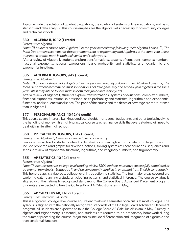Topics include the solution of quadratic equations, the solution of systems of linear equations, and basic statistics and data analysis. This course emphasizes the algebra skills necessary for community colleges and technical schools.

### 330 ALGEBRA II, 10-12 (1 credit)

#### *Prerequisite: Algebra I*

*Note: (1) Students should take Algebra II in the year immediately following their Algebra I class. (2) The Math Department recommends that sophomores not take geometry and Algebra II in the same year unless they intend to take math in both their junior and senior years.*

After a review of Algebra I, students explore transformations, systems of equations, complex numbers, fractional exponents, rational expressions, basic probability and statistics, and logarithmic and exponential functions.

### 335 ALGEBRA II HONORS, 9-12 (1 credit)

### *Prerequisite: Algebra I*

*Note: (1) Students should take Algebra II in the year immediately following their Algebra I class. (2) The Math Department recommends that sophomores not take geometry and second-year algebra in the same year unless they intend to take math in both their junior and senior years*.

After a review of Algebra I, students explore transformations, systems of equations, complex numbers, fractional exponents, rational expressions, basic probability and statistics, logarithmic and exponential functions, and sequences and series. The pace of the course and the depth of coverage are more intense than in Algebra II.

### 377 PERSONAL FINANCE, 10-12 (½ credit)

This course covers interest, banking, credit card debt, mortgages, budgeting, and other topics involving the handling of money. This highly practical course teaches finance skills that every student will need to deal with in life after high school.

### 358 PRECALCULUS HONORS, 11-12 (1 credit)

*Prerequisite: Algebra II, Geometry (can be taken concurrently)*

Precalculus is a class for students intending to take Calculus in high school or later in college. Topics include properties and graphs for diverse functions, solving systems of linear equations, sequences and series, a review of exponential functions, logarithms, and imaginary numbers, and trigonometry.

### 355 AP STATISTICS, 10-12 (1 credit)

### *Prerequisite: Algebra II*

*Note: This course requires college-level reading ability. ESOL students must have successfully completed or be exempt from English Language III and be concurrently enrolled in or exempt from English Language IV.* This honors class is a rigorous, college-level introduction to statistics. The four major areas covered are exploring data, planning a study, anticipating patterns, and statistical inference. The course syllabus is aligned with the nationally recognized standards of the College Board Advanced Placement program. Students are expected to take the College Board AP Statistics exam in May.

### 365 AP CALCULUS AB, 11-12 (1 credit)

### *Prerequisite: Precalculus A and B*

This is a rigorous, college-level course equivalent to about a semester of calculus at most colleges. The syllabus is aligned with the nationally recognized standards of the College Board Advanced Placement program. All students are expected to take the College Board AP Calculus AB exam in May. Fluency in algebra and trigonometry is essential, and students are required to do preparatory homework during the summer preceding the course. Major topics include differentiation and integration of algebraic and transcendental functions.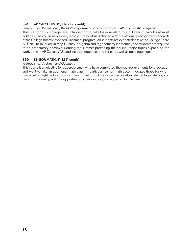### 374 AP CALCULUS BC, 11-12 (½ credit)

*Prerequisites: Permission of the Math Department or co-registration in AP Calculus AB is required.*  This is a rigorous, college-level introduction to calculus equivalent to a full year of calculus at most colleges. The course moves very rapidly. The syllabus is aligned with the nationally recognized standards of the College Board Advanced Placement program. All students are expected to take the College Board AP Calculus BC exam in May. Fluency in algebra and trigonometry is essential, and students are required to do preparatory homework during the summer preceding the course. Major topics expand on the work done in AP Calculus AB, and include sequences and series, as well as polar equations.

### 359 SENIOR MATH, 11-12 (1 credit)

#### *Prerequisite: Algebra II and Geometry*

This course is an elective for upperclassmen who have completed the math requirements for graduation and want to take an additional math class; in particular, senior math accommodates those for whom precalculus might be too rigorous. The curriculum includes extended algebra, elementary statistics, and basic trigonometry, with the opportunity to delve into topics requested by the class.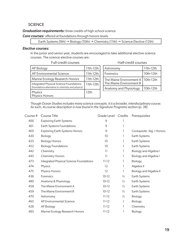### **SCIENCE**

#### *Graduation requirements:* three credits of high school science

*Core courses:* offered at foundations through honors levels

```
Earth Systems (9th) \rightarrow Biology (10th) \rightarrow Chemistry (11th) \rightarrow Science Elective (12th)
```
### *Elective courses:*

In the junior and senior year, students are encouraged to take additional elective science courses. The science elective courses are:

#### Full-credit courses Half-credit courses

| AP Biology                                                                                    | 11th-12th |
|-----------------------------------------------------------------------------------------------|-----------|
| AP Environmental Science                                                                      | 11th-12th |
| Marine Ecology Research Honors                                                                | 11th-12th |
| Integrated Physical Science Foundations<br>(foundations alternative to chemistry and physics) | 11th-12th |
| Physics<br>Physics Honors                                                                     | 12th      |

| Astronomy                                                      | 11th-12th |
|----------------------------------------------------------------|-----------|
| Forensics                                                      | 10th-12th |
| The Maine Environment A   10th-12th<br>The Maine Environment B |           |
| Anatomy and Physiology                                         | 10th-12th |

*Though Ocean Studies includes many science concepts, it is a broader, interdisciplinary course. As such, its course description is now found in the Signature Programs section (p. 38).*

| Course # | <b>Course Title</b>                     | Grade Level Credits |               | Prerequisites                 |
|----------|-----------------------------------------|---------------------|---------------|-------------------------------|
| 400      | <b>Exploring Earth Systems</b>          | $\mathsf 9$         |               |                               |
| 401      | Earth Systems Foundations               | 9                   | 1             |                               |
| 405      | <b>Exploring Earth Systems Honors</b>   | 9                   | 1             | Corequisite: Alg. I Honors    |
| 420      | Biology                                 | 10                  | 1             | Earth Systems                 |
| 425      | <b>Biology Honors</b>                   | 10                  | 1             | Earth Systems                 |
| 452      | <b>Biology Foundations</b>              | 10                  | 1             | Earth Systems                 |
| 442      | Chemistry                               | 11                  | 1             | <b>Biology and Algebra I</b>  |
| 445      | <b>Chemistry Honors</b>                 | 11                  | 1             | <b>Biology and Algebra I</b>  |
| 473      | Integrated Physical Science Foundations | $11 - 12$           | L             | Biology                       |
| 474      | Physics                                 | 12                  | T             | Algebra II                    |
| 475      | Physics Honors                          | 12                  | ı             | <b>Biology and Algebra II</b> |
| 436      | Forensics                               | $10-12$             | $\frac{1}{2}$ | Earth Systems                 |
| 480      | Anatomy & Physiology                    | $10-12$             | $\frac{1}{2}$ | Earth Systems                 |
| 458      | The Maine Environment A                 | $10-12$             | $\frac{1}{2}$ | Earth Systems                 |
| 459      | The Maine Environment B                 | $10-12$             | $\frac{1}{2}$ | Earth Systems                 |
| 470      | Astronomy                               | $11 - 12$           | $\frac{1}{2}$ | Biology                       |
| 465      | AP Environmental Science                | $11 - 12$           | L             | Biology                       |
| 428      | AP Biology                              | $11 - 12$           | 1             | Chemistry                     |
| 485      | Marine Ecology Research Honors          | $11 - 12$           | 1             | Biology                       |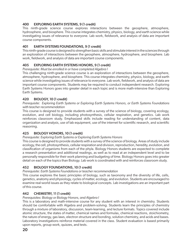### 400 EXPLORING EARTH SYSTEMS, 9 (1 credit)

This ninth-grade science course explores interactions between the geosphere, atmosphere, hydrosphere, and biosphere. This course integrates chemistry, physics, biology, and earth science while investigating issues of relevance to everyone. Lab work, fieldwork, and analysis of data are important course components.

### 401 EARTH SYSTEMS FOUNDATIONS, 9 (1 credit)

This ninth-grade course is designed to strengthen basic skills and stimulate interest in the sciences through an exploration of interactions between the geosphere, atmosphere, hydrosphere, and biosphere. Lab work, fieldwork, and analysis of data are important course components.

### 405 EXPLORING EARTH SYSTEMS HONORS, 9 (1 credit)

#### *Prerequisite: Must be enrolled in or have completed Algebra I*

This challenging ninth-grade science course is an exploration of interactions between the geosphere, atmosphere, hydrosphere, and biosphere. This course integrates chemistry, physics, biology, and earth science while investigating issues of relevance to everyone. Lab work, fieldwork, and analysis of data are important course components. Students may be required to conduct independent research. Exploring Earth Systems Honors goes into greater detail in each topic and is more math-intensive than Exploring Earth Systems.

### 420 BIOLOGY, 10 (1 credit)

#### *Prerequisite: Exploring Earth Systems or Exploring Earth Systems Honors, or Earth Systems Foundations with teacher recommendation*

This course is designed to provide students with a survey of the science of biology, covering ecology, evolution, and cell biology, including photosynthesis, cellular respiration, and genetics. Lab work reinforces classroom study. Emphasized skills include reading for understanding of content, data organization and analysis, use of lab equipment, use of the internet for scientific research, and scientific reasoning.

### 425 BIOLOGY HONORS, 10 (1 credit)

### *Prerequisite: Exploring Earth Systems or Exploring Earth Systems Honors*

This course is designed to provide students with a survey of the science of biology. Areas of study include ecology, the cell, photosynthesis, cellular respiration and division, reproduction, heredity, evolution, and classification of organisms from each of the phyla. Biology Honors students are expected to complete a research presentation and additional readings, as well as to read at an independent level and to be personally responsible for their work planning and budgeting of time. Biology Honors goes into greater detail on each of the topics than Biology. Lab work is coordinated with and reinforces classroom study.

### 452 BIOLOGY FOUNDATIONS, 10 (1 credit)

*Prerequisite: Earth Systems Foundations or teacher recommendation* 

This course explores the basic principles of biology, such as taxonomy and the diversity of life, cells, genetics, anatomy and physiology, cycles of matter, ecology, and evolution. Students are encouraged to examine real-world issues as they relate to biological concepts. Lab investigations are an important part of this course.

### 442 CHEMISTRY, 11 (1 credit)

#### *Prerequisites: Biology or Biology Honors, and Algebra I*

This is a laboratory and math-intensive course for any student with an interest in chemistry. Students should be comfortable with Algebra and problem-solving. Students learn the principles of chemistry through a mixture of laboratory, discussion, team-learning, and lecture formats. Topics covered include atomic structure, the states of matter, chemical names and formulas, chemical reactions, stoichiometry, the nature of energy, gas laws, electron structure and bonding, solution chemistry, and acids and bases. Laboratory investigations reinforce material covered in the class. Student evaluation is based primarily upon reports, group work, quizzes, and tests.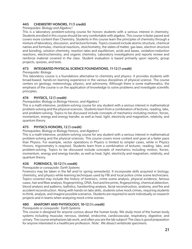### 445 CHEMISTRY HONORS, 11 (1 credit)

#### *Prerequisites: Biology and Algebra I*

This is a laboratory problem-solving course for honors students with a serious interest in chemistry. Students enrolled in this course should be very comfortable with algebra. This course is faster paced and covers more content than Chemistry. Students in this course learn the principles of chemistry through a mixture of laboratory, discussion, and lecture formats. Topics covered include atomic structure, chemical names and formulas, chemical reactions, stoichiometry, the states of matter, gas laws, electron structure and bonding, solution chemistry, reaction rates and equilibrium, acids and bases, oxidation-reduction reactions, electrochemistry, and organic chemistry. Laboratory investigations and reports review and reinforce material covered in the class. Student evaluation is based primarily upon reports, group projects, quizzes, and tests.

### 473 INTEGRATED PHYSICAL SCIENCE FOUNDATIONS, 11-12 (1 credit)

#### *Prerequisite: Biology*

This laboratory course is a foundations alternative to chemistry and physics. It provides students with broad-based, hands-on learning experience in the various disciplines of physical science. The course centers on geology, meteorology, physics, and astronomy. Although there is some mathematics, the emphasis of the course is on the application of knowledge to solve problems and investigate scientific principles.

### 474 PHYSICS, 12 (1 credit)

#### *Prerequisites: Biology or Biology Honors, and Algebra I*

This is a math-intensive, problem-solving course for any student with a serious interest in mathematical problem-solving and the physical sciences. Students learn from a combination of lectures, reading, labs, and problem-solving. Topics to be discussed include concepts of mechanics including motion, forces, momentum, energy and energy transfer, as well as heat, light, electricity and magnetism, relativity, and quantum theory.

### 475 PHYSICS HONORS, 12 (1 credit)

#### *Prerequisites: Biology or Biology Honors, and Algebra I*

This is a math-intensive, problem-solving course for any student with a serious interest in mathematical problem-solving and the physical sciences. This course covers more content and goes at a faster pace than Physics. For example, vector operations in Physics is limited to simpler cases, while in Physics Honors, trigonometry is required. Students learn from a combination of lectures, reading, labs, and problem-solving. Topics to be discussed include concepts of mechanics including motion, forces, momentum, energy and energy transfer, as well as heat, light, electricity and magnetism, relativity, and quantum theory.

### 436 FORENSICS, 10-12 (½ credit)

#### *Prerequisite or corequisite: Earth Systems*

Forensics may be taken in the fall and/or spring semester(s). It incorporate skills acquired in biology, chemistry, and physics while learning techniques used by FBI and local police crime scene technicians. Topics covered may include the history of forensics, crime scene analysis, physical evidence, famous cases, hair and fiber analysis, fingerprinting, DNA, foot and tire prints, fingerprinting, chemical detection, blood analysis and patterns, ballistics, handwriting analysis, facial reconstruction, anatomy, and fire and accident reconstruction. Along with hands-on labs skills, students solve mock crimes, requiring students to think, analyze, and imagine possible scenarios. Students are required to work individually on research projects and in teams when analyzing mock crime scenes.

### 480 ANATOMY AND PHYSIOLOGY, 10-12 (½ credit)

#### *Prerequisite or corequisite: Earth Systems*

This course is designed for anyone curious about the human body. We study most of the human body systems including muscular, nervous, skeletal, endocrine, cardiovascular, respiratory, digestive, and urinary. The course emphasizes lab work, and often you are the lab subject! The class is good preparation for anyone interested in a healthcare profession. *Note: We dissect vertebrate specimens.*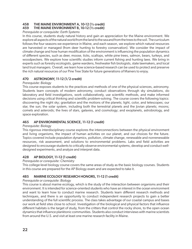### 458 THE MAINE ENVIRONMENT A, 10-12 (½ credit)

### 459 THE MAINE ENVIRONMENT B, 10-12 (½ credit)

#### *Prerequisite or corequisite: Earth Systems*

In this course, students study natural history and gain an appreciation for the Maine environment. We explore all aspects of the natural world from the land to the sea and from the trees to the soil. The curriculum follows the four seasons we experience in Maine, and each season, we explore which natural resources are harvested or managed (from deer hunting to forestry conservation). We consider the impact of climate change and how human modification of the environment is influencing the population dynamics of different species, such as deer, moose, ticks, scallops, white pine trees, salmon, bears, turkeys, and woodpeckers. We explore how scientific studies inform current fishing and hunting laws. We bring in experts such as forestry ecologists, game wardens, freshwater fish biologists, state lawmakers, and local land trust managers. Overall, we learn how science-based research can be used to protect and preserve the rich natural resources of our Pine Tree State for future generations of Mainers to enjoy.

### 470 ASTRONOMY, 11-12 (1/2 credit)

#### *Prerequisite: Biology*

This course exposes students to the practices and methods of one of the physical sciences, astronomy. Students learn concepts of modern astronomy, conduct observations through sky simulations, do laboratory and field investigations, work collaboratively, use scientific methods, and make informed decisions using critical thinking and scientific problem-solving. The course covers the following topics: discovering the night sky; gravitation and the motions of the planets; light, color, and telescopes; our star, the sun; the solar system, including both the terrestrial planets and the Jovian planets; moons; comets and asteroids; the lives of stars, galaxies, and cosmology; and exoplanets, astrobiology, and space exploration.

### 465 AP ENVIRONMENTAL SCIENCE, 11-12 (1 credit)

### *Prerequisite: Biology*

This rigorous interdisciplinary course explores the interconnections between the physical environment and living organisms, the impact of human activities on our planet, and our choices for the future. Topics covered include population dynamics, pollution, climate change, renewable and nonrenewable resources, risk assessment, and solutions to environmental problems. Labs and field activities are designed to encourage students to critically observe environmental systems, develop and conduct welldesigned experiments, and analyze and interpret data.

### 428 AP BIOLOGY, 11-12 (1 credit)

#### *Prerequisite or corequisite: Chemistry*

This college-level biology course covers the same areas of study as the basic biology courses. Students in this course are prepared for the AP Biology exam and are expected to take it.

### 485 MARINE ECOLOGY RESEARCH HONORS, 11-12 (1 credit)

#### *Prerequisite or corequisite: Biology*

This course is about marine ecology, which is the study of the interaction between organisms and their environment. It is intended for science-oriented students who have an interest in the ocean environment and want to learn how to conduct marine research. Students learn different research methods and techniques, and there is an opportunity to conduct independent research projects to gain a better understanding of the full scientific process. The class takes advantage of our coastal campus and bases our work at field sites close to school. Investigation of the biological and physical factors that influence different habitats is the target of study, from the critters that control the rocky shore, to the open ocean dynamics that influence planktonic communities. Students also conduct interviews with marine scientists from around the U.S. and visit at least one marine research facility in Maine.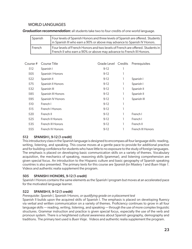### WORLD LANGUAGES

*Graduation recommendation:* all students take two to four credits of one world language.

| Spanish | Four levels of Spanish Honors and three levels of Spanish are offered. Students  <br>In Spanish III who earn a 90% or above may advance to Spanish IV Honors. |
|---------|---------------------------------------------------------------------------------------------------------------------------------------------------------------|
| French  | Four levels of French Honors and two levels of French are offered. Students in  <br>French II who earn a 90% or above may advance to French III Honors.       |

| Course # | Course Title       | Grade Level Credits |   | Prerequisites     |
|----------|--------------------|---------------------|---|-------------------|
| 512      | Spanish I          | $9-12$              |   |                   |
| 505      | Spanish   Honors   | $9-12$              |   |                   |
| 522      | Spanish II         | $9-12$              | 1 | Spanish I         |
| 575      | Spanish II Honors  | $9-12$              | 1 | Spanish I         |
| 532      | Spanish III        | $9-12$              | 1 | Spanish II        |
| 585      | Spanish III Honors | $9-12$              | 1 | Spanish II        |
| 595      | Spanish IV Honors  | $9-12$              | 1 | Spanish III       |
| 510      | French I           | $9-12$              |   |                   |
| 515      | French I Honors    | $9-12$              |   |                   |
| 520      | French II          | $9-12$              |   | French I          |
| 525      | French II Honors   | $9-12$              | 1 | French I          |
| 535      | French III Honors  | $9-12$              | 1 | French II         |
| 555      | French IV Honors   | $9-12$              |   | French III Honors |
|          |                    |                     |   |                   |

### 512 SPANISH I, 9-12 (1 credit)

This introductory class in the Spanish language is designed to encompass all four language skills: reading, writing, listening, and speaking. This course moves at a gentle pace to provide for additional practice and for building confidence for students who have little to no exposure to the study of foreign languages. The emphasis is placed on developing basic communication skills on a variety of themes. Vocabulary acquisition, the mechanics of speaking, reasoning skills (grammar), and listening comprehension are given special focus. An introduction to the Hispanic culture and basic geography of Spanish speaking countries is also presented. The primary texts for this course are *Spanish for Mastery 1* and *Buen Viaje 1*. Videos and authentic realia supplement the program.

### 505 SPANISH I HONORS, 9-12 (1 credit)

Spanish I Honors contains the same elements as the Spanish I program but moves at an accelerated pace for the motivated language learner.

### 522 SPANISH II, 9-12 (1 credit)

### *Prerequisite: Spanish I, Spanish I Honors, or qualifying grade on a placement test*

Spanish II builds upon the acquired skills of Spanish I. The emphasis is placed on developing fluency via verbal and written communication on a variety of themes. Proficiency continues to grow in all four language skills — reading, writing, listening, and speaking — through the use of more complex linguistic structures. Grammar instruction and practice is given special focus, especially the use of the verb and pronoun system. There is a heightened cultural awareness about Spanish geography, demography and traditions. The primary text used is *Buen Viaje*. Videos and authentic realia supplement the program.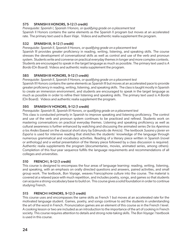### 575 SPANISH II HONORS, 9-12 (1 credit)

*Prerequisite: Spanish I, Spanish I Honors, or qualifying grade on a placement test* Spanish II Honors contains the same elements as the Spanish II program but moves at an accelerated rate. The primary text used is *Buen Viaje*. Videos and authentic realia supplement the program.

### 532 SPANISH III, 9-12 (1 credit)

*Prerequisite: Spanish II, Spanish II Honors, or qualifying grade on a placement test*

Spanish III provides greater proficiency in reading, writing, listening, and speaking skills. The course stresses the development of conversational skills as well as control and use of the verb and pronoun system. Students write and converse on practical everyday themes in longer and more complex contexts. Students are encouraged to speak in the target language as much as possible. The primary text used is *A Bordo* (On Board). Videos and authentic realia supplement the program.

### 585 SPANISH III HONORS, 9-12 (1 credit)

### *Prerequisite: Spanish II, Spanish II Honors, or qualifying grade on a placement test*

Spanish III Honors contains the same elements as Spanish III but moves at an accelerated pace to provide greater proficiency in reading, writing, listening, and speaking skills. The class is taught mostly in Spanish to create an immersion environment, and students are encouraged to speak in the target language as much as possible in order to refine their listening and speaking skills. The primary text used is *A Bordo*  (On Board). Videos and authentic realia supplement the program.

### 595 SPANISH IV HONORS, 9-12 (1 credit)

### *Prerequisite: Spanish III, Spanish III Honors, or qualifying grade on a placement test*

This class is conducted primarily in Spanish to improve speaking and listening proficiency. The control and use of the verb and pronoun system continues to be practiced and refined. Students work on mastering conversations on practical everyday themes. Listening and speaking proficiency as well as cultural awareness is further enhanced by watching and discussing the animated series *De los Apeninos a los Andes* (based on the classical short story by Edmundo de Amicis). The textbook *Susana y Javier en España* is used for intensive reading that stretches the students' knowledge of the language through numerous grammatical and vocabulary activities. Reading of a literary piece written in Spanish (novel or anthology) and a verbal presentation of the literary piece followed by a class discussion is required. Authentic realia supplements the program (documentaries, movies, animated series, among others). Completion of this four-year sequence fulfills the language requirements and recommendations of all colleges and universities.

### 510 FRENCH I, 9-12 (1 credit)

This course is designed to encompass the four areas of language learning: reading, writing, listening, and speaking, with an emphasis on orally directed questions and answers, paired activities, and small group work. The textbook, *Bon Voyage*, weaves Francophone culture into the course. The material is covered at a relaxed pace with much repetition, and includes poetry, songs, and games so that students can acquire a strong vocabulary base to build on. This course gives a solid foundation in order to continue studying French.

### 515 FRENCH I HONORS, 9-12 (1 credit)

This course uses and encompasses the same skills as French 1 but moves at an accelerated rate for the motivated language student. Games, poetry, and songs continue to aid the students in understanding the art of the word in French. Pronunciation games are an element of this course as in the French I level. A cooking lesson or two are included as an introduction to the importance of the art of cooking in French society. This course requires attention to details and strong note-taking skills. The *Bon Voyage 1* textbook is used in this course.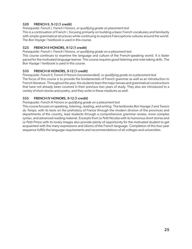### 520 FRENCH II, 9-12 (1 credit)

*Prerequisite: French I, French I Honors, or qualifying grade on placement test*

This is a continuation of French I, focusing primarily on building a basic French vocabulary and familiarity with simple grammatical structures while continuing to explore Francophone cultures around the world. The *Bon Voyage 1* textbook is used in this course.

### 525 FRENCH II HONORS, 9-12 (1 credit)

*Prerequisite: French I, French I Honors, or qualifying grade on a placement test* This course continues to examine the language and culture of the French-speaking world. It is faster paced for the motivated language learner. This course requires good listening and note-taking skills. The *Bon Voyage 1* textbook is used in this course.

### 535 FRENCH III HONORS, 9-12 (1 credit)

*Prerequisite: French II, French II Honors (recommended), or qualifying grade on a placement test* The focus of this course is to provide the fundamentals of French grammar as well as an introduction to French literature. Throughout the year, the students learn the major tenses and grammatical constructions that have not already been covered in their previous two years of study. They also are introduced to a variety of short stories and poetry, and they write in these mediums as well.

### 555 FRENCH IV HONORS, 9-12 (1 credit)

#### *Prerequisite: French III Honors or qualifying grade on a placement test*

This course focuses on speaking, listening, reading, and writing. The textbooks *Bon Voyage 2* and *Tresors du Temps*, with its texts on the prehistory of France through the modern division of the provinces and departments of the country, lead students through a comprehensive grammar review, more complex syntax, and advanced reading material. Excerpts from *Le Petit Nicolas* with its humorous short stories and *Le Petit Prince* with its lovely images also provide plenty of opportunity for the motivated student to get acquainted with the many expressions and idioms of the French language. Completion of this four-year sequence fulfills the language requirements and recommendations of all colleges and universities.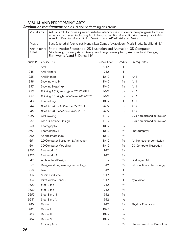### VISUAL AND PERFORMING ARTS

|                        | <b>Visual Arts</b><br>Art I or Art I Honors is a prerequisite for later courses; students then progress to more<br>advanced courses, including Art II Honors, Painting A and B, Printmaking, Book Arts<br>A and B, Drawing A and B, AP Drawing, and AP 2-D Art and Design |                                                                                                                                                                                     |             |               |                                |  |
|------------------------|---------------------------------------------------------------------------------------------------------------------------------------------------------------------------------------------------------------------------------------------------------------------------|-------------------------------------------------------------------------------------------------------------------------------------------------------------------------------------|-------------|---------------|--------------------------------|--|
| Music                  | Band (offered all four years), Honors Jazz Combo (by audition), Music Prod., Steel Band I-IV                                                                                                                                                                              |                                                                                                                                                                                     |             |               |                                |  |
| Arts in other<br>areas |                                                                                                                                                                                                                                                                           | Photo, Adobe Photoshop, 2D Illustration and Animation, 3D Computer<br>Modeling, Culinary Arts, Design and Engineering Tech, Architectural Design,<br>Earthworks A and B, Dance I-IV |             |               |                                |  |
| Course #               |                                                                                                                                                                                                                                                                           | Course Title                                                                                                                                                                        | Grade Level | Credits       | Prerequisites                  |  |
| 951                    | Art I                                                                                                                                                                                                                                                                     |                                                                                                                                                                                     | $9-12$      |               |                                |  |
| 945                    |                                                                                                                                                                                                                                                                           | Art I Honors                                                                                                                                                                        | $9-12$      |               |                                |  |
| 955                    |                                                                                                                                                                                                                                                                           | Art II Honors                                                                                                                                                                       | $10-12$     | 1             | Art I                          |  |
| 956                    |                                                                                                                                                                                                                                                                           | Drawing A (fall)                                                                                                                                                                    | $10-12$     | $\frac{1}{2}$ | Art I                          |  |
| 957                    |                                                                                                                                                                                                                                                                           | Drawing B (spring)                                                                                                                                                                  | $10-12$     | $\frac{1}{2}$ | Art I                          |  |
| 953                    |                                                                                                                                                                                                                                                                           | Painting A (fall) - not offered 2022-2023                                                                                                                                           | $10 - 12$   | $\frac{1}{2}$ | Art I                          |  |
| 954                    | Painting B (spring) - not offered 2022-2023                                                                                                                                                                                                                               |                                                                                                                                                                                     | $10 - 12$   | $\frac{1}{2}$ | Art I                          |  |
| 943                    |                                                                                                                                                                                                                                                                           | Printmaking                                                                                                                                                                         | $10-12$     | 1             | Art 1                          |  |
| 944                    |                                                                                                                                                                                                                                                                           | Book Arts A - not offered 2022-2023                                                                                                                                                 | $10 - 12$   | $\frac{1}{2}$ | Art 1                          |  |
| 946                    |                                                                                                                                                                                                                                                                           | Book Arts B - not offered 2022-2023                                                                                                                                                 | $10 - 12$   | $\frac{1}{2}$ | Art 1                          |  |
| 935                    |                                                                                                                                                                                                                                                                           | AP Drawing                                                                                                                                                                          | $11 - 12$   |               | 2-3 art credits and permission |  |
| 937                    |                                                                                                                                                                                                                                                                           | AP 2-D Art and Design                                                                                                                                                               | $11 - 12$   |               | 2-3 art credits and permission |  |
| $\cap$ $\cap$          |                                                                                                                                                                                                                                                                           | المنطوح وسيحاج والطار                                                                                                                                                               | 10.12       | $\frac{1}{2}$ |                                |  |

*Graduation requirement:* one visual and performing arts credit

| 943  | Printmaking                          | $10-12$   | ı             | Art 1                          |
|------|--------------------------------------|-----------|---------------|--------------------------------|
| 944  | Book Arts A - not offered 2022-2023  | $10 - 12$ | $\frac{1}{2}$ | Art 1                          |
| 946  | Book Arts B - not offered 2022-2023  | $10-12$   | $\frac{1}{2}$ | Art 1                          |
| 935  | <b>AP Drawing</b>                    | $11 - 12$ | 1             | 2-3 art credits and permission |
| 937  | AP 2-D Art and Design                | $11 - 12$ | 1             | 2-3 art credits and permission |
| 950  | Photography I                        | $10-12$   | $\frac{1}{2}$ |                                |
| 9501 | Photography II                       | $10-12$   | $\frac{1}{2}$ | Photography I                  |
| 960  | Adobe Photoshop                      | $10-12$   | $\frac{1}{2}$ |                                |
| 65   | 2D Computer Illustration & Animation | $10-12$   | $\frac{1}{2}$ | Art I or teacher permission    |
| 66   | 3D Computer Modeling                 | $10-12$   | $\frac{1}{2}$ | 2D Computer Illustration       |
| 9400 | Earthworks A                         | $9-12$    | $\frac{1}{2}$ |                                |
| 9420 | Earthworks B                         | $9-12$    | $\frac{1}{2}$ |                                |
| 842  | Architectural Design                 | $11 - 12$ | $\frac{1}{2}$ | Drafting or Art I              |
| 852  | Design and Engineering Technology    | $9-12$    | $\frac{1}{2}$ | Introduction to Technology     |
| 958  | Band                                 | $9-12$    | ı             |                                |
| 966  | Music Production                     | $9-12$    | $\frac{1}{2}$ |                                |
| 964  | Jazz Combo Honors                    | $9-12$    | ı             | by audition                    |
| 9620 | Steel Band I                         | $9-12$    | $\frac{1}{2}$ |                                |
| 9630 | Steel Band II                        | $9-12$    | $\frac{1}{2}$ |                                |
| 9650 | Steel Band III                       | $9-12$    | $\frac{1}{2}$ |                                |
| 9651 | Steel Band IV                        | $9-12$    | $\frac{1}{2}$ |                                |
| 980  | Dance I                              | $9-12$    | $\frac{1}{2}$ | Physical Education             |
| 982  | Dance II                             | $10-12$   | $\frac{1}{2}$ |                                |
| 983  | Dance III                            | $10-12$   | $\frac{1}{2}$ |                                |
| 984  | Dance IV                             | $10-12$   | $\frac{1}{2}$ |                                |
| 1183 | <b>Culinary Arts</b>                 | $11 - 12$ | $\frac{1}{2}$ | Students must be 16 or older.  |
|      |                                      |           |               |                                |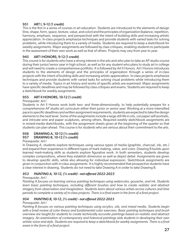### 951 ART I, 9-12 (1 credit)

This is the first in a series of courses in art education. Students are introduced to the elements of design (line, shape, form, space, texture, value, and color) and the principles of organization (balance, repetition, harmony, emphasis, sequence, and perspective) with the intent of building skills and increasing artistic appreciation. In-class projects emphasize techniques and provide students with varied tasks for solving problems, while introducing them to a variety of media. Students are required to keep a sketchbook for weekly assignments. Major assignments are followed by class critiques, enabling students to participate in the assessment of their own work as well as that of others. Projects may vary from year to year.

### 945 ART I HONORS, 9-12 (1 credit)

This course is for students who have a strong interest in the arts and who plan to take an AP studio course during their junior/senior year in high school, as well as for any student who plans to study art in college and will need to create a comprehensive portfolio. It is followed by Art II Honors. Art I Honors introduces students to the elements of design and the principles of organization through a series of in-class projects with the intent of building skills and increasing artistic appreciation. In-class projects emphasize techniques and provide students with varied tasks for solving visual problems while introducing them to a variety of media. Topics in art history and works of specific artists are examined. Major assignments have specific deadlines and may be followed by class critiques and exams. Students are required to keep a sketchbook for weekly assignments.

### 955 ART II HONORS, 10-12 (1 credit)

### *Prerequisite: Art I*

Students in Art II Honors work both two- and three-dimensionally, to help potentially prepare for a comprehensive AP studio art curriculum either their junior or senior year. Working at a more intensified pace to specific deadlines and written assignment requirements, students are expected to take the design elements to the next level. Some of the assignments include a large still life in oils, cut paper self-portraits, and intricate wire and paper sculptures, among others. Required weekly sketchbook assignments are in mixed-media sketchbooks, with the assignment sheets given at the beginning of the quarter so that students can plan ahead. This course is for students who are serious about their commitment to the arts.

#### 956 DRAWING A, 10-12 (½ credit) 957 DRAWING B, 10-12 (½ credit)

### *Prerequisite: Art I*

In Drawing A, students explore techniques using various types of media (graphite, charcoal, ink, etc.) and expand their experience in different types of mark making, value, and color. Drawing B builds upon learned mark-making skills as students explore figurative work. In both semesters, students develop complex compositions, where they establish dimension as well as depict detail. Assignments are given to develop specific skills, while also allowing for individual expression. Sketchbook assignments are given in conjunction with in-class assignments. It is highly recommended that prospective students have a clear interest in drawing. Students do not need to take Drawing A in order to take Drawing B.

### *953 PAINTING A, 10-12, (½ credit) - not offered 2022-2023*

### *Prerequisite: Art I*

*Painting A focuses on learning various painting techniques using watercolor, gouache, and ink. Students learn basic painting techniques, including different brushes and how to create realistic and abstract imagery from observation and imagination. Students learn about various artists across cultures and time periods to complete a variety of in-class projects. There is a final exam in the form of a final project.*

### *954 PAINTING B, 10-12, (½ credit) - not offered 2022-2023*

### *Prerequisite: Art I*

*Painting B focuses on various painting techniques using acrylics, oils, and mixed media. Students begin with a brief review of color theory and fundamental color exercises. Basic painting techniques and brush overview are taught for students to create technically accurate paintings based on realistic and abstract imagery. An examination of contemporary and historical paintings aids students in developing their own artistic voice and style. Students are required to keep a sketchbook for weekly assignments. There is a final exam in the form of a final project.*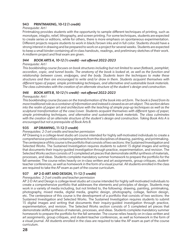### 943 PRINTMAKING, 10-12 (1 credit)

### *Prerequisite: Art I*

Printmaking provides students with the opportunity to sample different techniques of printing, such as monotype, intaglio, relief, lithography, and screen printing. For some techniques, students are expected to create series or editions, while for others, there is more emphasis on spontaneous experimentation. Different projects require students to work in black/brown inks and in full color. Students should have a strong interest in drawing and be prepared to work on a project for several weeks. Students are expected to keep a small binder containing all in-class handouts, readings, and preliminary sketches of their work. A midterm project and final exam are given.

### *944 BOOK ARTS A, 10-12 (½ credit) - not offered 2022-2023*

### *Prerequisite: Art I*

*This bookbinding course focuses on book structures including but not limited to sewn flatback, pamphlet, accordion, copic, and tunnel books. The anatomy of the book is looked at, as well as the function and relationship between cover, endpages, and the body. Students learn the techniques to make these structures and then are encouraged to write and/or draw in them. Students acquaint themselves with different types of paper, simple printmaking techniques, and alternative and sustainable book materials. The class culminates with the creation of an alternate structure of the student's design and construction.*

### *946 BOOK ARTS B, 10-12 (½ credit) - not offered 2022-2023*

### *Prerequisite: Art I*

*This bookbinding course focuses on the transformation of the book into art form. The book is freed from its more traditional role as a container of information and instead is viewed as an art object. This section delves into the realm of paper art and architecture with the teaching of simple pop-up techniques as well as the sculptural transformation of the case/cover. Students acquaint themselves with different types of paper, simple printmaking techniques, and alternative and sustainable book materials. The class culminates with the creation of an alternate structure of the student's design and construction. Taking Book Arts A is encouraged but not a prerequisite of Book Arts B.*

### 935 AP DRAWING, 11-12 (1 credit)

### *Prerequisites: 2-3 art credits and teacher permission*

AP Drawing is a college-level studio art course intended for highly self-motivated individuals to create a comprehensive portfolio containing elements from the disciplines of drawing, painting, and printmaking. The centerpiece of this course is the portfolio that consists of two sections: the Sustained Investigation and Selected Works. The Sustained Investigation requires students to submit 15 digital images and writing that documents their inquiry-guided investigation through practice, experimentation, and revision. The Selected Works section consists of 5 completed art pieces that demonstrate skillful synthesis of materials, processes, and ideas. Students complete mandatory summer homework to prepare the portfolio for the fall semester. The course relies heavily on in-class written and art assignments, group critiques, studentteacher conferences, as well as homework in the form of a visual journal. All students enrolled in the class are required to take the AP exam as part of the course curriculum.

### 937 AP 2-D ART AND DESIGN, 11–12 (1 credit)

### *Prerequisites: 2-3 art credits and teacher permission*

AP 2-D Art and Design is college-level studio art course intended for highly self-motivated individuals to create a comprehensive portfolio that addresses the elements and principles of design. Students may work in a variety of media including, but not limited to, the following: drawing, painting, printmaking, photography, mixed media, digital media, graphic design, photography, collage, fashion design, etc. The centerpiece of this course is the development of a portfolio that consists of two sections: the Sustained Investigation and Selected Works. The Sustained Investigation requires students to submit 15 digital images and writing that documents their inquiry-guided investigation through practice, experimentation, and revision. The Selected Works section consists of 5 completed art pieces that demonstrate skillful synthesis of materials, processes, and ideas. Students complete mandatory summer homework to prepare the portfolio for the fall semester. The course relies heavily on in-class written and art assignments, group critiques, and student-teacher conferences, as well as homework in the form of a visual journal. All students enrolled in the class are required to take the AP exam as part of the course curriculum.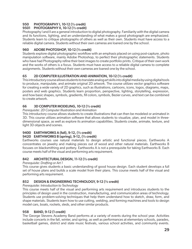### 950 PHOTOGRAPHY I, 10-12 (½ credit)

### 9501 PHOTOGRAPHY II, 10-12 (½ credit)

Photography I and II are a general introduction to digital photography. Familiarity with the digital camera and its functions, lighting, and an understanding of what makes a good photograph are emphasized. Students learn to critique photographs of others as well as their own. Students must have access to a reliable digital camera. Students without their own cameras are loaned one by the school.

### 960 ADOBE PHOTOSHOP, 10-12 (½ credit)

Students explore digital photographic workflow with an emphasis placed on using post-capture, photo manipulation software, mainly Adobe Photoshop, to perfect their photographic statements. Students who have had Photography refine their best images to create portfolio prints. Critique of their own work and the works of others is a focus. Students must have access to a reliable digital camera to complete assignments. Students without their own cameras are loaned one by the school.

### 65 2D COMPUTER ILLUSTRATION AND ANIMATION, 10-12 (½ credit)

This introductory course allows students to translate analog art skills into digital media by using digital tools to produce, manipulate, and animate original 2D artwork. The course utilizes vector graphics software for creating a wide variety of 2D graphics, such as illustrations, cartoons, icons, logos, diagrams, maps, posters and web graphics. Students learn proportion, perspective, lighting, storytelling, expression, and how basic shapes, symbols, gradients, fill colors, symbols, Bezier curves, and text can be combined to create artwork.

### 66 3D COMPUTER MODELING, 10-12 (½ credit)

*Prerequisite: 2D Computer Illustration and Animation*

This introductory course allows students to create illustrations that can then be modeled or animated in 3D. This course utilizes animation software that allows students to visualize, plan, and model in threedimensional space, as well as explore its animation capabilities. Students create, animate, texture, and light 3D objects and scenes.

### 9400 EARTHWORKS A (fall), 9-12, (½ credit)

### 9420 EARTHWORKS B (spring), 9-12, (½ credit)

Earthworks courses use natural materials to design artistic and functional pieces. Earthworks A concentrates on jewelry and making pieces out of wood and other natural materials. Earthworks B focuses on blacksmithing and pottery. Earthworks A is not a prerequisite for taking Earthworks B. Each course meets half of the visual and performing arts requirement.

### 842 ARCHITECTURAL DESIGN, 11-12 (½ credit)

### *Prerequisite: Drafting or Art 1*

This course gives students a basic understanding of good house design. Each student develops a full set of house plans and builds a scale model from their plans. This course meets half of the visual and performing arts requirement.

### 852 DESIGN & ENGINEERING TECHNOLOGY, 9-12 (½ credit)

*Prerequisite: Introduction to Technology*

This course meets half of the visual and performing arts requirement and introduces students to the principles of design used in the construction, manufacturing, and communication areas of technology. Students use problem-solving techniques that help them understand how to sketch, draw, form, and shape materials. Students learn how to use cutting, welding, and forming machines and tools to design model cars, boats, rockets, sleds, and other similar products.

### 958 BAND, 9-12 (1 credit)

The George Stevens Academy Band performs at a variety of events during the school year. Activities include concerts in the fall, winter, and spring, as well as performances at elementary schools, parades, basketball games, district and state music festivals, various school activities, and community events.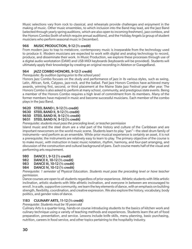Music selections vary from rock to classical, and rehearsals provide challenges and enjoyment in the making of music. Other music ensembles, to which inclusion into the Band may lead, are the Jazz Band (selected through yearly spring auditions, which are also open to incoming freshmen), jazz combos, and the Honors Combo (both of which require annual auditions), and the Holiday Angels (a group of student musicians who perform seasonal music in December).

### 966 MUSIC PRODUCTION, 9-12 (½ credit)

From modern jazz to trap to metalcore, contemporary music is inseparable from the technology used to produce it. Modern musicians are expected to work with digital and analog technology to record, produce, and disseminate their work. In Music Production, we explore these processes through use of a digital audio workstation (DAW) and USB MIDI keyboards (keyboards will be provided). Students will ultimately apply their knowledge by creating an original recording in Ableton or GarageBand.

### 964 JAZZ COMBO HONORS, 9-12 (1 credit)

### *Prerequisite: By audition (spring prior to the school year)*

Honors Jazz Combo focuses on the study and performance of jazz in its various styles, such as swing, Latin, African, funk, Calypso, jazz-rock, and the ballad. Past Jazz Honors Combos have achieved many awards, winning first, second, or third placement at the Maine State Jazz Festival year after year. The Honors Combo is also asked to perform at many school, community, and prestigious state events. Being a member of the Honors Combo requires a high level of commitment from its members. Many of the former members have majored in music and become successful musicians. Each member of the combo plays in the Jazz Band.

### 9620 STEEL BAND I, 9-12 (½ credit)

9630 STEEL BAND II, 9-12 (½ credit)

9650 STEEL BAND III, 9-12 (½ credit)

### 9651 STEEL BAND IV, 9-12 (½ credit)

### *Prerequisite: students must pass the preceding level, or teacher permission*

Island music and the steel drum are a vital part of the history and culture of the Caribbean and are important newcomers on the world music scene. Students learn to play "pan"—the steel drum family of instruments—and perform as an ensemble. While prior musical experience is certainly an asset, it is not a prerequisite; the instruments are relatively easy to learn to play. The primary objective of the course is to make music, with instruction in basic music notation, rhythm, harmony, and four-part arranging, and discussion of the construction and cultural background of pans. Each course meets half of the visual and performing arts requirement.

- 980 DANCE I, 9-12 (½ credit)
- 982 DANCE II, 10-12 (½ credit)
- 983 DANCE III, 10-12 (½ credit)
- 984 DANCE IV, 10-12 (½ credit)

*Prerequisite: 1 semester of Physical Education. Students must pass the preceding level or have teacher permission.*

Dance courses are open to all students regardless of prior experience. Athletic students with little artistic inclination, artistic students with little athletic inclination, and everyone in between are encouraged to enroll. In a safe, supportive community, we learn the key elements of dance, with an emphasis on building strength, flexibility, coordination, and creative expression. We also explore the history, vocabulary, body politics, and gender roles of dance.

### 1183 CULINARY ARTS, 11-12 (½ credit)

*Prerequisite: Students must be 16 years old*

Culinary Arts is a quarter-long, hands-on course introducing students to the basics of kitchen work and culinary technique using a variety of teaching methods and experiences. Students learn the art of food preparation, presentation, and service. Lessons include knife skills, menu planning, basic purchasing, nutrition, careers in food service, and other topics pertaining to the hospitality industry.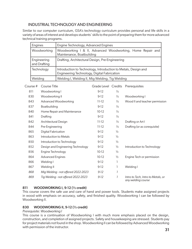### INDUSTRIAL TECHNOLOGY AND ENGINEERING

Similar to our computer curriculum, GSA's technology curriculum provides personal and life skills in a variety of areas of interest and develops students' skills to the point of preparing them for more advanced technical training programs.

| Engines                     | Engine Technology, Advanced Engines                                                                           |  |  |  |  |  |
|-----------------------------|---------------------------------------------------------------------------------------------------------------|--|--|--|--|--|
| Woodworking                 | Woodworking I & II, Advanced Woodworking, Home Repair and<br>Maintenance, Boatbuilding                        |  |  |  |  |  |
| Engineering<br>and Drafting | Drafting, Architectural Design, Pre-Engineering                                                               |  |  |  |  |  |
| Technology                  | Introduction to Technology, Introduction to Metals, Design and<br>Engineering Technology, Digital Fabrication |  |  |  |  |  |
| Welding                     | Welding I, Welding II, Mig Welding, Tig Welding                                                               |  |  |  |  |  |

| Course # | Course Title                        | Grade Level Credits |               | Prerequisites                                            |
|----------|-------------------------------------|---------------------|---------------|----------------------------------------------------------|
| 811      | Woodworking I                       | $9-12$              | $\frac{1}{2}$ |                                                          |
| 830      | Woodworking II                      | $9-12$              | $\frac{1}{2}$ | Woodworking I                                            |
| 843      | Advanced Woodworking                | $11 - 12$           | $\frac{1}{2}$ | Wood II and teacher permission                           |
| 837      | Boatbuilding                        | $9-12$              | $\frac{1}{2}$ |                                                          |
| 840      | Home Repair and Maintenance         | $10-12$             | $\frac{1}{2}$ |                                                          |
| 841      | Drafting                            | $9-12$              | $\frac{1}{2}$ |                                                          |
| 842      | Architectural Design                | $11 - 12$           | $\frac{1}{2}$ | Drafting or Art I                                        |
| 844      | Pre-Engineering                     | $11 - 12$           | $\frac{1}{2}$ | Drafting (or as corequisite)                             |
| 865      | <b>Digital Fabrication</b>          | $9-12$              | $\frac{1}{2}$ |                                                          |
| 863      | Introduction to Metals              | $9-12$              | $\frac{1}{2}$ |                                                          |
| 850      | Introduction to Technology          | $9-12$              | $\frac{1}{2}$ |                                                          |
| 852      | Design and Engineering Technology   | $9-12$              | $\frac{1}{2}$ | Introduction to Technology                               |
| 856      | Engine Technology                   | $10-12$             | $\frac{1}{2}$ |                                                          |
| 864      | <b>Advanced Engines</b>             | $10-12$             | $\frac{1}{2}$ | Engine Tech or permission                                |
| 866      | Welding I                           | $9-12$              | 1             |                                                          |
| 867      | Welding II                          | $9-12$              | 1             | Welding I                                                |
| 868      | Mig Welding - not offered 2022-2023 | $9-12$              | 1             |                                                          |
| 869      | Tig Welding - not offered 2022-2023 | $9 - 12$            | 7             | Intro to Tech, Intro to Metals, or<br>any welding course |

### 811 WOODWORKING I, 9-12 (½ credit)

This course covers the safe use and care of hand and power tools. Students make assigned projects in wood with emphasis on accuracy, safety, and finished quality. Woodworking I can be followed by Woodworking II.

### 830 WOODWORKING II, 9-12 (½ credit)

### *Prerequisite: Woodworking I*

This course is a continuation of Woodworking I with much more emphasis placed on the design, construction, and completion of assigned projects. Safety and housekeeping are stressed. Students pay for project materials not found in the shop. Woodworking II can be followed by Advanced Woodworking with permission of the instructor.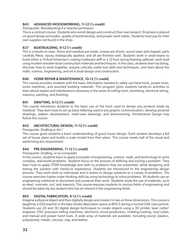### 843 ADVANCED WOODWORKING, 11-12 (½ credit)

*Prerequisite: Woodworking II or teacher permission*

This is a contract course. Students who enroll design and construct their own project. Emphasis is placed on good design principles, quality of workmanship, and proper work habits. Students must pay for their own supplies not found in the shop.

### 837 BOATBUILDING, 9-12 (½ credit)

This is a hands-on class. Noise and sawdust are made, screws are driven, wood sawn and shaped, parts carefully fitted, epoxy strategically applied, and all are finished well. Students work in small teams to build either a 14-foot fisherman's rowing/outboard skiff or a 12-foot racing/training sailboat, each built using modern wooden boat construction materials and techniques. In this class, students learn by doing, discover how to work together, acquire critically useful tool skills and techniques, and learn about the math, science, engineering, and art in boat design and construction.

### 840 HOME REPAIR & MAINTENANCE, 10-12 (½ credit)

This course provides students with the basic information needed to safely use hand tools, power tools, some machines, and assorted building materials. This program gives students hands-on activities to learn about repairs and maintenance necessary in the areas of cutting tools, plumbing, electrical wiring, masonry, painting, and finishing.

### 841 DRAFTING, 9-12 (½ credit)

This course introduces students to the basic use of the tools used to design any product made by mankind. They learn how to set up basic lettering used in any graphic communication, develop pictorial drawings, pattern development, multi-view drawings, and dimensioning. Architectural Design may follow this course.

### 842 ARCHITECTURAL DESIGN, 11-12 (½ credit)

### *Prerequisite: Drafting or Art 1*

This course gives students a basic understanding of good house design. Each student develops a full set of house plans and builds a scale model from their plans. This course meets half of the visual and performing arts requirement.

### 844 PRE-ENGINEERING, 11-12 (½ credit)

### *Prerequisite: Drafting, or as corequisite*

In this course, students learn to apply principles of engineering, science, math, and technology to solve complex, real-world problems. Students focus on the process of defining and solving a problem. They learn how to apply STEM knowledge and skills to problems they are presented, while designing and testing the solution with hands-on experience. Students are introduced to the engineering design process. They work both as individuals and in teams to design solutions to a variety of problems. The course exercises higher-order thinking skills by using technology to solve problems. All students use an engineering notebook to document and preserve their work. Students study the use of materials, such as steel, concrete, soil, and masonry. This course exposes students to various fields of engineering and should be taken by any student who has an interest in the engineering fields.

### 865 DIGITAL FABRICATION, 9-12 (½ credit)

Imagine a physical object and then digitally design and create it in two or three dimensions. This course is taught by a GSA teacher in the Idea Studio fabrication space at BHCS during a normal GSA class period. Students use 2D and 3D digital design techniques to create objects using a 3D printer, laser cutter/ engraver, CNC precision milling machines, electronic circuit production, molding/casting, vinyl cutter, and manual and power hand tools. A wide array of materials are available, including wood, plastics, polystyrene, metals, silicone, clay, and leather.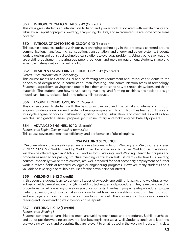### 863 INTRODUCTION TO METALS, 9-12 (1/2 credit)

This class gives students an introduction to hand and power tools associated with metalworking and fabrication. Layout of projects, welding, sharpening drill bits, and micrometer use are some of the areas covered.

### 850 INTRODUCTION TO TECHNOLOGY, 9-12 (1/2 credit)

This course acquaints students with our ever-changing technology in the processes centered around communication, manufacturing, construction, transportation, and energy and power systems. Students work to design and construct technological solutions to everyday problems. Using a band saw, gas and arc welding equipment, shearing equipment, benders, and molding equipment, students shape and assemble materials into a finished product.

### 852 DESIGN & ENGINEERING TECHNOLOGY, 9-12 (½ credit)

#### *Prerequisite: Introduction to Technology*

This course meets half of the visual and performing arts requirement and introduces students to the principles of design used in construction, manufacturing, and communication areas of technology. Students use problem-solving techniques to help them understand how to sketch, draw, form, and shape materials. The student learn how to use cutting, welding, and forming machines and tools to design model cars, boats, rockets, sleds, and other similar products.

### 856 ENGINE TECHNOLOGY, 10-12 (½ credit)

This course acquaints students with the basic principles involved in external and internal combustion engines. Students learn how each system of an engine operates. Through labs, they learn about two- and four-cycle engine principles, carburetion, ignition, cooling, lubrication, and overhaul, as well as how vehicles using gasoline, diesel, propane, jet, turbine, rotary, and rocket engines basically operate.

### 864 ADVANCED ENGINES, 10-12 (½ credit)

*Prerequisite: Engine Tech or teacher permission* This course covers maintenance, efficiency, and performance of diesel engines.

### GSA WELDING SEQUENCE

GSA offers a four-course welding sequence over a two-year rotation. Welding I and Welding II are offered in 2022-2023; Mig Welding and Tig Welding will be offered in 2023-2024; Welding I and Welding II will then be offered again in 2024-2025, and so forth. Welding I and Welding II teach techniques and procedures needed for passing structural welding certification tests; students who take GSA welding courses, especially two or more courses, are well-prepared for post-secondary employment or further work in related fields at technical colleges or engineering programs. However, many students find it valuable to take single or multiple courses for their own personal interest.

### 866 WELDING I, 9-12 (1 credit)

In this course, students learn to perform all types of oxyacetylene cutting, brazing, and welding, as well as basic shielded metal arc welding (stick welding) techniques and procedures. They learn basic welding procedures to start preparing for welding certification tests. They learn proper safety procedures, proper metal preparation, and how to make good quality welds in various welding positions. Heat distortion and warpage, and how to minimize both, are taught as well. This course also introduces students to reading and understanding weld symbols on blueprints.

### 867 WELDING II, 9-12 (1 credit)

### *Prerequisite: Welding I*

Students continue to learn shielded metal arc welding techniques and procedures. Uphill, overhead, and out-of-position welding are covered. Jobsite safety is stressed as well. Students continue to learn and use welding symbols and blueprints that are relevant to what is used in the welding industry. This class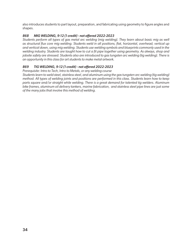also introduces students to part layout, preparation, and fabricating using geometry to figure angles and shapes.

### *868 MIG WELDING, 9-12 (1 credit) - not offered 2022-2023*

*Students perform all types of gas metal arc welding (mig welding). They learn about basic mig as well as structural flux core mig welding. Students weld in all positions, flat, horizontal, overhead, vertical up and vertical down, using mig welding. Students use welding symbols and blueprints commonly used in the welding industry. Students are taught how to cut a fit pipe together using geometry. As always, shop and jobsite safety are stressed. Students also are introduced to gas tungsten arc welding (tig welding). There is an opportunity in this class for art students to make metal artwork.* 

### *869 TIG WELDING, 9-12 (1 credit) - not offered 2022-2023*

*Prerequisite: Intro to Tech, Intro to Metals, or any welding course*

*Students learn to weld steel, stainless steel, and aluminum using the gas tungsten arc welding (tig welding) method. All types of welding joints and positions are performed in this class. Students learn how to keep parts square and/or straight while welding. There is a great demand for talented tig welders. Aluminum bike frames, aluminum oil delivery tankers, marine fabrication, and stainless steel pipe lines are just some of the many jobs that involve this method of welding.*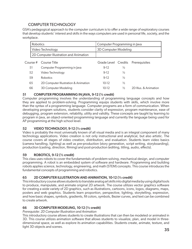### COMPUTER TECHNOLOGY

GSA's pedagogical approach to the computer curriculum is to offer a wide range of exploratory courses that develop students' interest and skills in the ways computers are used in personal life, society, and the workplace.

| Robotics                               | Computer Programming in Java |  |  |
|----------------------------------------|------------------------------|--|--|
| Video Technology                       | 3D Computer Modeling         |  |  |
| 2D Computer Illustration and Animation |                              |  |  |

|    | Course # Course Title                |         |     | Grade Level Credits Prerequisites |
|----|--------------------------------------|---------|-----|-----------------------------------|
| 51 | Computer Programming in Java         | $9-12$  | 1/2 |                                   |
| 52 | Video Technology                     | $9-12$  | ½   |                                   |
| 59 | <b>Robotics</b>                      | $9-12$  | ½   |                                   |
| 65 | 2D Computer Illustration & Animation | $10-12$ | ½   |                                   |
| 66 | 3D Computer Modeling                 | 10-12   | ⅓   | 2D Illus, & Animation             |

### 51 COMPUTER PROGRAMMING IN JAVA, 9-12 (½ credit)

Computer programming involves the understanding of programming language concepts and how they are applied to problem-solving. Programming equips students with skills, which involve more than the syntax of a programming language. Computer programs are a form of communication. When developing program solutions, students consider clarity of expression, program maintenance, ease of debugging, program extension, reliability, utility and validity. These concepts are taught by learning to program in Java, an object-oriented programming language and currently the language being used for AP programming at the high school level.

### 52 VIDEO TECHNOLOGY, 9-12 (½ credit)

Video is probably the most universally known of all visual media and is an integral component of many technology applications. Video creation is not only instructional and analytical, but also artistic. The course covers all stages of video creation, distribution, and evaluation. Students learn video basics (camera handling, lighting) as well as pre-production (story generation, script writing, storyboarding), production (casting, direction, filming) and post-production (editing, titling, audio, effects).

### 59 ROBOTICS, 9-12 (½ credit)

This class uses robots to cover the fundamentals of problem-solving, mechanical design, and computer programming. A robot is an embedded system of software and hardware. Programming and building robots applies science, technology, engineering, and math (STEM) concepts. This course introduces the fundamental concepts of programming and robotics.

### 65 2D COMPUTER ILLUSTRATION AND ANIMATION, 10-12 (½ credit)

This introductory course allows students to translate analog art skills into digital media by using digital tools to produce, manipulate, and animate original 2D artwork. The course utilizes vector graphics software for creating a wide variety of 2D graphics, such as illustrations, cartoons, icons, logos, diagrams, maps, posters and web graphics. Students learn proportion, perspective, lighting, storytelling, expression, and how basic shapes, symbols, gradients, fill colors, symbols, Bezier curves, and text can be combined to create artwork.

### 66 3D COMPUTER MODELING, 10-12 (½ credit)

*Prerequisite: 2D Computer Illustration and Animation*

This introductory course allows students to create illustrations that can then be modeled or animated in 3D. This course utilizes animation software that allows students to visualize, plan, and model in threedimensional space, as well as explore its animation capabilities. Students create, animate, texture, and light 3D objects and scenes.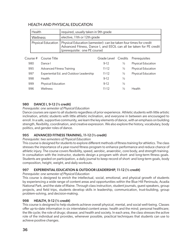### HEALTH AND PHYSICAL EDUCATION

| Health   | required, usually taken in 9th grade                                                                                                                                                            |
|----------|-------------------------------------------------------------------------------------------------------------------------------------------------------------------------------------------------|
| Wellness | elective, 11th or 12th grade                                                                                                                                                                    |
|          | Physical Education   Physical Education (semester): can be taken four times for credit<br>  Advanced Fitness, Dance I, and EEOL can all be taken for PE credit<br>(prerequisite: one PE course) |

|     | Course # Course Title                   |           |               | Grade Level Credits Prerequisites |
|-----|-----------------------------------------|-----------|---------------|-----------------------------------|
| 980 | Dance I                                 | $9-12$    | $\frac{1}{2}$ | Physical Education                |
| 995 | <b>Advanced Fitness Training</b>        | $11-12$   | $\frac{1}{2}$ | Physical Education                |
| 997 | Experiential Ed. and Outdoor Leadership | $11-12$   | $\frac{1}{2}$ | Physical Education                |
| 998 | Health                                  | $9-12$    | $\frac{1}{2}$ |                                   |
| 999 | <b>Physical Education</b>               | $9-12$    | $\frac{1}{2}$ |                                   |
| 996 | Wellness                                | $11 - 12$ | $\frac{1}{2}$ | <b>Health</b>                     |
|     |                                         |           |               |                                   |

### 980 DANCE I, 9-12 (½ credit)

### *Prerequisite: one semester of Physical Education*

Dance courses are open to all students regardless of prior experience. Athletic students with little artistic inclination, artistic students with little athletic inclination, and everyone in between are encouraged to enroll. In a safe, supportive community, we learn the key elements of dance, with an emphasis on building strength, flexibility, coordination, and creative expression. We also explore the history, vocabulary, body politics, and gender roles of dance.

### 995 ADVANCED FITNESS TRAINING, 11-12 (½ credit)

*Prerequisite: two semesters of Physical Education*

This course is designed for students to explore different methods of fitness training for athletics. The class stresses the importance of a year-round fitness program to enhance performance and reduce chance of athletic injury. The course covers flexibility, speed, aerobic, anaerobic, core body, and strength training. In consultation with the instructor, students design a program with short- and long-term fitness goals. Students are graded on participation, a daily journal to keep record of short- and long-term goals, body composition, height, weight, and daily workouts.

### 997 EXPERIENTIAL EDUCATION & OUTDOOR LEADERSHIP, 11-12 (½ credit)

*Prerequisite: one semester of Physical Education*

This course is designed to enrich the intellectual, social, emotional, and physical growth of students by experiencing a wide range of content areas and opportunities within the Blue Hill Peninsula, Acadia National Park, and the state of Maine. Through class instruction, student journals, guest speakers, group projects, and field trips, students develop skills in leadership, communication, trust-building, group problem-solving, and decision-making.

### 998 HEALTH, 9-12 (½ credit)

This course is designed to help students achieve overall physical, mental, and social well-being. Classes offer up-to-date information in six interrelated content areas: health and the mind; personal healthcare; the life cycle; the role of drugs; disease; and health and society. In each area, the class stresses the active role of the individual and provides, whenever possible, practical techniques that students can use to achieve positive changes.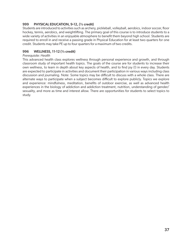### 999 PHYSICAL EDUCATION, 9-12, (½ credit)

Students are introduced to activities such as archery, pickleball, volleyball, aerobics, indoor soccer, floor hockey, tennis, aerobics, and weightlifting. The primary goal of this course is to introduce students to a wide variety of activities in an enjoyable atmosphere to benefit them beyond high school. Students are required to enroll in and receive a passing grade in Physical Education for at least two quarters for one credit. Students may take PE up to four quarters for a maximum of two credits.

#### 996 WELLNESS, 11-12 (½ credit)

#### *Prerequisite: Health*

This advanced health class explores wellness through personal experience and growth, and through classroom study of important health topics. The goals of the course are for students to increase their own wellness, to learn in depth about key aspects of health, and to find joy (!) in every day. Students are expected to participate in activities and document their participation in various ways including class discussion and journaling. Note: Some topics may be difficult to discuss with a whole class. There are alternate ways to participate when a subject becomes difficult to explore publicly. Topics we explore and experience: mindfulness, meditation, benefits of outdoor exercise, as well as advanced health experiences in the biology of addiction and addiction treatment, nutrition, understanding of gender/ sexuality, and more as time and interest allow. There are opportunities for students to select topics to study.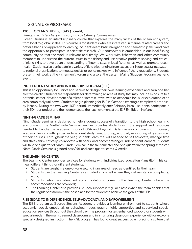### SIGNATURE PROGRAMS

### 1205 OCEAN STUDIES, 10-12 (1 credit)

#### *Prerequisite: By teacher permission, may be taken up to three times*

Ocean Studies is an interdisciplinary course that explores the many facets of the ocean ecosystem, from local to global scales. This course is for students who are interested in marine-related careers and prefer a hands-on approach to learning. Students learn basic navigation and seamanship skills and have the opportunity to participate in scientific research. Our coursework is embedded in our local fishing community so that the work is relevant and timely. We work with fishermen and other community members to understand the current issues in the fishery and use creative problem-solving and criticalthinking skills to develop an understanding of how to sustain local fisheries, as well as promote ocean health. Students also participate in a variety of field trips ranging from excursions in our coastal ecosystem to regional organizations to meet scientists or policy makers who influence fishery regulations. Students present their work at the Fishermen's Forum and also at the Eastern Maine Skippers Program year-end event.

### INDEPENDENT STUDY AND INTERNSHIP PROGRAM (ISIP)

This is an opportunity for juniors and seniors to design their own learning experience and earn one-half elective credit. Students are responsible for determining an area of study that may include exposure to a potential career, development of a talent or interest, travel with an academic focus, or exploration of an area completely unknown. Students begin planning for ISIP in October, creating a completed proposal by January. During the two-week ISIP period, immediately after February break, students participate in their 60-hour project and then demonstrate their achievement at the ISIP Exhibition in March.

#### NINTH-GRADE SEMINAR

Ninth-Grade Seminar is designed to help students successfully transition to the high school learning environment. The Ninth-Grade Seminar teacher provides students with the support and resources needed to handle the academic rigors of GSA and beyond. Daily classes combine short, focused, academic lessons with guided independent study time, tutoring, and daily monitoring of grades in all of their courses. Throughout the year, students learn the skills needed to self-advocate, manage time and stress, think critically, collaborate with peers, and become stronger, independent learners. Students will take one quarter of Ninth-Grade Seminar in the fall semester and one quarter in the spring semester. Ninth-Grade Seminar is graded pass/ fail and each quarter earns ¼ credit.

### THE LEARNING CENTER

The Learning Center provides services for students with Individualized Education Plans (IEP). This can mean different things for different students:

- Students are taught in a one-on-one setting in an area of need as identified by their team;
- Students use the Learning Center as a guided study hall where they get assistance completing work;
- Students, who have identified accommodations, come to the Learning Center where the accommodations are provided;
- The Learning Center also provides Ed Tech support in regular classes when the team decides that the regular classroom is the best place for the student to achieve the goals of the IEP.

### RISE (ROAD TO INDEPENDENCE, SELF-ADVOCACY, AND EMPOWERMENT

The RISE program at George Stevens Academy provides a learning environment to students whose academic, social, emotional, or behavioral needs require highly supportive and supervised special education services throughout the school day. The program fosters enhanced support for students with special needs in the mainstreamed classrooms and in a nurturing classroom experience with one-to-one specially designed instruction. The RISE program has found great success by embracing a culture that